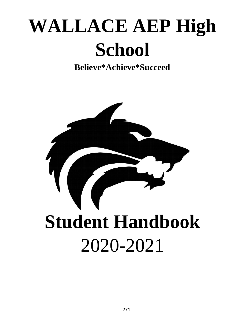# **WALLACE AEP High School**

**Believe\*Achieve\*Succeed** 

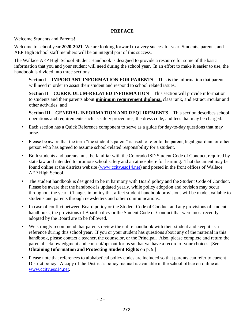#### **PREFACE**

Welcome Students and Parents!

Welcome to school year **2020-2021**. We are looking forward to a very successful year. Students, parents, and AEP High School staff members will be an integral part of this success.

The Wallace AEP High School Student Handbook is designed to provide a resource for some of the basic information that you and your student will need during the school year. In an effort to make it easier to use, the handbook is divided into three sections:

**Section I**—**IMPORTANT INFORMATION FOR PARENTS** – This is the information that parents will need in order to assist their student and respond to school related issues.

**Section II**—**CURRICULUM-RELATED INFORMATION** – This section will provide information to students and their parents about **minimum requirement diploma,** class rank, and extracurricular and other activities; and

**Section III**—**GENERAL INFORMATION AND REQUIREMENTS** – This section describes school operations and requirements such as safety procedures, the dress code, and fees that may be charged.

- Each section has a Quick Reference component to serve as a guide for day-to-day questions that may arise.
- Please be aware that the term "the student's parent" is used to refer to the parent, legal guardian, or other person who has agreed to assume school-related responsibility for a student.
- Both students and parents must be familiar with the Colorado ISD Student Code of Conduct, required by state law and intended to promote school safety and an atmosphere for learning. That document may be found online at the districts website (www.ccity.esc14.net) and posted in the front offices of Wallace AEP High School.
- The student handbook is designed to be in harmony with Board policy and the Student Code of Conduct. Please be aware that the handbook is updated yearly, while policy adoption and revision may occur throughout the year. Changes in policy that affect student handbook provisions will be made available to students and parents through newsletters and other communications.
- In case of conflict between Board policy or the Student Code of Conduct and any provisions of student handbooks, the provisions of Board policy or the Student Code of Conduct that were most recently adopted by the Board are to be followed.
- We strongly recommend that parents review the entire handbook with their student and keep it as a reference during this school year. If you or your student has questions about any of the material in this handbook, please contact a teacher, the counselor, or the Principal. Also, please complete and return the parental acknowledgment and consent/opt-out forms so that we have a record of your choices. [See **Obtaining Information and Protecting Student Rights** on p. 9.]
- Please note that references to alphabetical policy codes are included so that parents can refer to current District policy. A copy of the District's policy manual is available in the school office on online at www.ccity.esc14.net.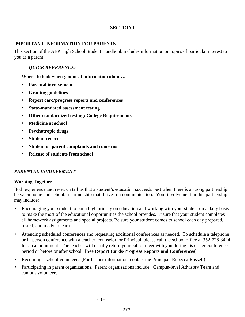#### **SECTION I**

#### **IMPORTANT INFORMATION FOR PARENTS**

This section of the AEP High School Student Handbook includes information on topics of particular interest to you as a parent.

#### *QUICK REFERENCE:*

**Where to look when you need information about…** 

- **Parental involvement**
- **Grading guidelines**
- **Report card/progress reports and conferences**
- **State-mandated assessment testing**
- **Other standardized testing: College Requirements**
- **Medicine at school**
- **Psychotropic drugs**
- **Student records**
- **Student or parent complaints and concerns**
- **Release of students from school**

#### *PARENTAL INVOLVEMENT*

#### **Working Together**

Both experience and research tell us that a student's education succeeds best when there is a strong partnership between home and school, a partnership that thrives on communication. Your involvement in this partnership may include:

- Encouraging your student to put a high priority on education and working with your student on a daily basis to make the most of the educational opportunities the school provides. Ensure that your student completes all homework assignments and special projects. Be sure your student comes to school each day prepared, rested, and ready to learn.
- Attending scheduled conferences and requesting additional conferences as needed. To schedule a telephone or in-person conference with a teacher, counselor, or Principal, please call the school office at 352-728-3424 for an appointment. The teacher will usually return your call or meet with you during his or her conference period or before or after school. [See **Report Cards/Progress Reports and Conferences**]
- Becoming a school volunteer. [For further information, contact the Principal, Rebecca Russell)
- Participating in parent organizations. Parent organizations include: Campus-level Advisory Team and campus volunteers.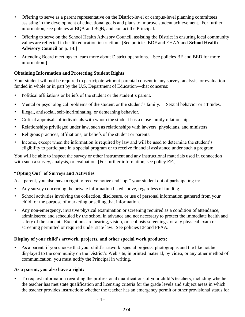- Offering to serve as a parent representative on the District-level or campus-level planning committees assisting in the development of educational goals and plans to improve student achievement. For further information, see policies at BQA and BQB, and contact the Principal.
- Offering to serve on the School Health Advisory Council, assisting the District in ensuring local community values are reflected in health education instruction. [See policies BDF and EHAA and **School Health Advisory Council** on p. 14.]
- Attending Board meetings to learn more about District operations. [See policies BE and BED for more information.]

# **Obtaining Information and Protecting Student Rights**

Your student will not be required to participate without parental consent in any survey, analysis, or evaluation funded in whole or in part by the U.S. Department of Education—that concerns:

- Political affiliations or beliefs of the student or the student's parent.
- Mental or psychological problems of the student or the student's family.  $\square$  Sexual behavior or attitudes.
- Illegal, antisocial, self-incriminating, or demeaning behavior.
- Critical appraisals of individuals with whom the student has a close family relationship.
- Relationships privileged under law, such as relationships with lawyers, physicians, and ministers.
- Religious practices, affiliations, or beliefs of the student or parents.
- Income, except when the information is required by law and will be used to determine the student's eligibility to participate in a special program or to receive financial assistance under such a program.

You will be able to inspect the survey or other instrument and any instructional materials used in connection with such a survey, analysis, or evaluation. [For further information, see policy EF.]

# **"Opting Out" of Surveys and Activities**

As a parent, you also have a right to receive notice and "opt" your student out of participating in:

- Any survey concerning the private information listed above, regardless of funding.
- School activities involving the collection, disclosure, or use of personal information gathered from your child for the purpose of marketing or selling that information.
- Any non-emergency, invasive physical examination or screening required as a condition of attendance, administered and scheduled by the school in advance and not necessary to protect the immediate health and safety of the student. Exceptions are hearing, vision, or scoliosis screenings, or any physical exam or screening permitted or required under state law. See policies EF and FFAA.

# **Display of your child's artwork, projects, and other special work products:**

• As a parent, if you choose that your child's artwork, special projects, photographs and the like not be displayed to the community on the District's Web site, in printed material, by video, or any other method of communication, you must notify the Principal in writing.

# **As a parent, you also have a right:**

• To request information regarding the professional qualifications of your child's teachers, including whether the teacher has met state qualification and licensing criteria for the grade levels and subject areas in which the teacher provides instruction; whether the teacher has an emergency permit or other provisional status for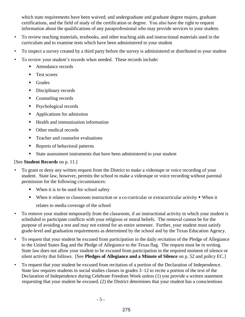which state requirements have been waived; and undergraduate and graduate degree majors, graduate certifications, and the field of study of the certification or degree. You also have the right to request information about the qualifications of any paraprofessional who may provide services to your student.

- To review teaching materials, textbooks, and other teaching aids and instructional materials used in the curriculum and to examine tests which have been administered to your student
- To inspect a survey created by a third party before the survey is administered or distributed to your student
- To review your student's records when needed. These records include:
	- Attendance records
	- Test scores
	- **Grades**
	- Disciplinary records
	- Counseling records
	- Psychological records
	- Applications for admission
	- Health and immunization information
	- Other medical records
	- Teacher and counselor evaluations
	- Reports of behavioral patterns
	- State assessment instruments that have been administered to your student

# [See **Student Records** on p. 11.]

- To grant or deny any written request from the District to make a videotape or voice recording of your student. State law, however, permits the school to make a videotape or voice recording without parental permission for the following circumstances:
	- When it is to be used for school safety
	- When it relates to classroom instruction or a co-curricular or extracurricular activity  $\blacksquare$  When it relates to media coverage of the school
- To remove your student temporarily from the classroom, if an instructional activity in which your student is scheduled to participate conflicts with your religious or moral beliefs. The removal cannot be for the purpose of avoiding a test and may not extend for an entire semester. Further, your student must satisfy grade-level and graduation requirements as determined by the school and by the Texas Education Agency.
- To request that your student be excused from participation in the daily recitation of the Pledge of Allegiance to the United States flag and the Pledge of Allegiance to the Texas flag. The request must be in writing. State law does not allow your student to be excused from participation in the required moment of silence or silent activity that follows. [See **Pledges of Allegiance and a Minute of Silence** on p. 52 and policy EC.]
- To request that your student be excused from recitation of a portion of the Declaration of Independence. State law requires students in social studies classes in grades 3–12 to recite a portion of the text of the Declaration of Independence during Celebrate Freedom Week unless (1) you provide a written statement requesting that your student be excused, (2) the District determines that your student has a conscientious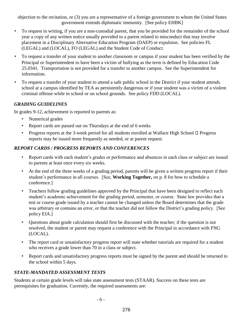objection to the recitation, or (3) you are a representative of a foreign government to whom the United States government extends diplomatic immunity. [See policy EHBK]

- To request in writing, if you are a non-custodial parent, that you be provided for the remainder of the school year a copy of any written notice usually provided to a parent related to misconduct that may involve placement in a Disciplinary Alternative Education Program (DAEP) or expulsion. See policies FL (LEGAL) and (LOCAL), FO (LEGAL) and the Student Code of Conduct.
- To request a transfer of your student to another classroom or campus if your student has been verified by the Principal or Superintendent to have been a victim of bullying as the term is defined by Education Code 25.0341. Transportation is not provided for a transfer to another campus. See the Superintendent for information.
- To request a transfer of your student to attend a safe public school in the District if your student attends school at a campus identified by TEA as persistently dangerous or if your student was a victim of a violent criminal offense while in school or on school grounds. See policy FDD (LOCAL).

# *GRADING GUIDELINES*

In grades 9-12, achievement is reported to parents as:

- Numerical grades
- Report cards are passed out on Thursdays at the end of 6 weeks
- Progress reports at the 3-week period for all students enrolled at Wallace High School  $\Box$  Progress reports may be issued more frequently as needed, or at parent request.

# *REPORT CARDS / PROGRESS REPORTS AND CONFERENCES*

- Report cards with each student's grades or performance and absences in each class or subject are issued to parents at least once every six weeks.
- At the end of the three weeks of a grading period, parents will be given a written progress report if their student's performance in all courses. [See, **Working Together,** on p. 8 for how to schedule a conference.]
- Teachers follow grading guidelines approved by the Principal that have been designed to reflect each student's academic achievement for the grading period, semester, or course. State law provides that a test or course grade issued by a teacher cannot be changed unless the Board determines that the grade was arbitrary or contains an error, or that the teacher did not follow the District's grading policy. [See policy EIA.]
- Questions about grade calculation should first be discussed with the teacher; if the question is not resolved, the student or parent may request a conference with the Principal in accordance with FNG (LOCAL).
- The report card or unsatisfactory progress report will state whether tutorials are required for a student who receives a grade lower than 70 in a class or subject.
- Report cards and unsatisfactory progress reports must be signed by the parent and should be returned to the school within 5 days.

# *STATE-MANDATED ASSESSMENT TESTS*

Students at certain grade levels will take state assessment tests (STAAR). Success on these tests are prerequisites for graduation. Currently, the required assessments are: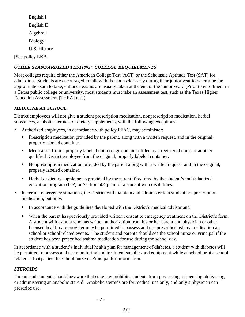English I English II Algebra I Biology U.S. History [See policy EKB.]

# *OTHER STANDARDIZED TESTING: COLLEGE REQUIREMENTS*

Most colleges require either the American College Test (ACT) or the Scholastic Aptitude Test (SAT) for admission. Students are encouraged to talk with the counselor early during their junior year to determine the appropriate exam to take; entrance exams are usually taken at the end of the junior year. (Prior to enrollment in a Texas public college or university, most students must take an assessment test, such as the Texas Higher Education Assessment [THEA] test.)

#### *MEDICINE AT SCHOOL*

District employees will not give a student prescription medication, nonprescription medication, herbal substances, anabolic steroids, or dietary supplements, with the following exceptions:

- Authorized employees, in accordance with policy FFAC, may administer:
	- **Prescription medication provided by the parent, along with a written request, and in the original,** properly labeled container.
	- Medication from a properly labeled unit dosage container filled by a registered nurse or another qualified District employee from the original, properly labeled container.
	- Nonprescription medication provided by the parent along with a written request, and in the original, properly labeled container.
	- Herbal or dietary supplements provided by the parent if required by the student's individualized education program (IEP) or Section 504 plan for a student with disabilities.
- In certain emergency situations, the District will maintain and administer to a student nonprescription medication, but only:
	- In accordance with the guidelines developed with the District's medical advisor and
	- When the parent has previously provided written consent to emergency treatment on the District's form. A student with asthma who has written authorization from his or her parent and physician or other licensed health-care provider may be permitted to possess and use prescribed asthma medication at school or school related events. The student and parents should see the school nurse or Principal if the student has been prescribed asthma medication for use during the school day.

In accordance with a student's individual health plan for management of diabetes, a student with diabetes will be permitted to possess and use monitoring and treatment supplies and equipment while at school or at a school related activity. See the school nurse or Principal for information.

#### *STEROIDS*

Parents and students should be aware that state law prohibits students from possessing, dispensing, delivering, or administering an anabolic steroid. Anabolic steroids are for medical use only, and only a physician can prescribe use.

- 7 -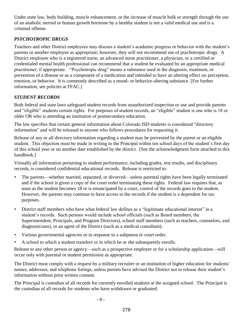Under state law, body building, muscle enhancement, or the increase of muscle bulk or strength through the use of an anabolic steroid or human growth hormone by a healthy student is not a valid medical use and is a criminal offense.

# *PSYCHOTROPIC DRUGS*

Teachers and other District employees may discuss a student's academic progress or behavior with the student's parents or another employee as appropriate; however, they will not recommend use of psychotropic drugs. A District employee who is a registered nurse, an advanced nurse practitioner, a physician, or a certified or credentialed mental health professional can recommend that a student be evaluated by an appropriate medical practitioner, if appropriate. "Psychotropic drug" means a substance used in the diagnosis, treatment, or prevention of a disease or as a component of a medication and intended to have an altering effect on perception, emotion, or behavior. It is commonly described as a mood- or behavior-altering substance. [For further information, see policies at FFAC.]

# *STUDENT RECORDS*

Both federal and state laws safeguard student records from unauthorized inspection or use and provide parents and "eligible" students certain rights. For purposes of student records, an "eligible" student is one who is 18 or older OR who is attending an institution of postsecondary education.

The law specifies that certain general information about Colorado ISD students is considered "directory information" and will be released to anyone who follows procedures for requesting it.

Release of any or all directory information regarding a student may be prevented by the parent or an eligible student. This objection must be made in writing to the Principal within ten school days of the student's first day of this school year or on another date established by the district. [See the acknowledgment form attached to this handbook.]

Virtually all information pertaining to student performance, including grades, test results, and disciplinary records, is considered confidential educational records. Release is restricted to:

- The parents—whether married, separated, or divorced—unless parental rights have been legally terminated and if the school is given a copy of the court order terminating these rights. Federal law requires that, as soon as the student becomes 18 or is emancipated by a court, control of the records goes to the student. However, the parents may continue to have access to the records if the student is a dependent for tax purposes.
- District staff members who have what federal law defines as a "legitimate educational interest" in a student's records. Such persons would include school officials (such as Board members, the Superintendent, Principals, and Program Directors), school staff members (such as teachers, counselors, and diagnosticians), or an agent of the District (such as a medical consultant).
- Various governmental agencies or in response to a subpoena or court order.
- A school to which a student transfers or in which he or she subsequently enrolls.

Release to any other person or agency—such as a prospective employer or for a scholarship application—will occur only with parental or student permission as appropriate.

The District must comply with a request by a military recruiter or an institution of higher education for students' names, addresses, and telephone listings, unless parents have advised the District not to release their student's information without prior written consent.

The Principal is custodian of all records for currently enrolled students at the assigned school. The Principal is the custodian of all records for students who have withdrawn or graduated.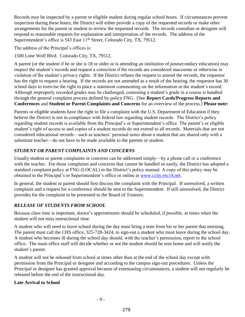Records may be inspected by a parent or eligible student during regular school hours. If circumstances prevent inspection during these hours, the District will either provide a copy of the requested records or make other arrangements for the parent or student to review the requested records. The records custodian or designee will respond to reasonable requests for explanation and interpretation of the records. The address of the Superintendent's office is 543 East 11<sup>th</sup> Street, Colorado City, TX, 79512.

The address of the Principal's offices is:

1500 Lone Wolf Blvd. Colorado City, TX, 79512.

A parent (or the student if he or she is 18 or older or is attending an institution of postsecondary education) may inspect the student's records and request a correction if the records are considered inaccurate or otherwise in violation of the student's privacy rights. If the District refuses the request to amend the records, the requestor has the right to request a hearing. If the records are not amended as a result of the hearing, the requestor has 30 school days to exercise the right to place a statement commenting on the information in the student's record. Although improperly recorded grades may be challenged, contesting a student's grade in a course is handled through the general complaint process defined by policy FNG. [See **Report Cards/Progress Reports and Conferences** and **Student or Parent Complaints and Concerns** for an overview of the process.] **Please note:** 

Parents or eligible students have the right to file a complaint with the U.S. Department of Education if they believe the District is not in compliance with federal law regarding student records. The District's policy regarding student records is available from the Principal's or Superintendent's office. The parent's or eligible student's right of access to and copies of a student records do not extend to all records. Materials that are not considered educational records—such as teachers' personal notes about a student that are shared only with a substitute teacher—do not have to be made available to the parents or student.

# *STUDENT OR PARENT COMPLAINTS AND CONCERNS*

Usually student or parent complaints or concerns can be addressed simply—by a phone call or a conference with the teacher. For those complaints and concerns that cannot be handled so easily, the District has adopted a standard complaint policy at FNG (LOCAL) in the District's policy manual. A copy of this policy may be obtained in the Principal's or Superintendent's office or online at www.ccity.esc14.net.

In general, the student or parent should first discuss the complaint with the Principal. If unresolved, a written complaint and a request for a conference should be sent to the Superintendent. If still unresolved, the District provides for the complaint to be presented to the Board of Trustees.

# *RELEASE OF STUDENTS FROM SCHOOL*

Because class time is important, doctor's appointments should be scheduled, if possible, at times when the student will not miss instructional time.

A student who will need to leave school during the day must bring a note from his or her parent that morning. The parent must call the CHS office, 325-728-3424, to sign-out a student who must leave during the school day. A student who becomes ill during the school day should, with the teacher's permission, report to the school office. The main office staff will decide whether or not the student should be sent home and will notify the student's parent.

A student will not be released from school at times other than at the end of the school day except with permission from the Principal or designee and according to the campus sign-out procedures. Unless the Principal or designee has granted approval because of extenuating circumstances, a student will not regularly be released before the end of the instructional day.

# **Late Arrival to School**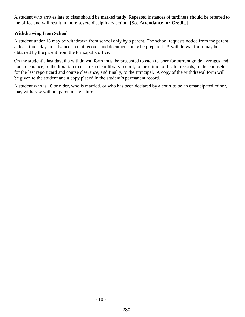A student who arrives late to class should be marked tardy. Repeated instances of tardiness should be referred to the office and will result in more severe disciplinary action. [See **Attendance for Credit**.]

#### **Withdrawing from School**

A student under 18 may be withdrawn from school only by a parent. The school requests notice from the parent at least three days in advance so that records and documents may be prepared. A withdrawal form may be obtained by the parent from the Principal's office.

On the student's last day, the withdrawal form must be presented to each teacher for current grade averages and book clearance; to the librarian to ensure a clear library record; to the clinic for health records; to the counselor for the last report card and course clearance; and finally, to the Principal. A copy of the withdrawal form will be given to the student and a copy placed in the student's permanent record.

A student who is 18 or older, who is married, or who has been declared by a court to be an emancipated minor, may withdraw without parental signature.

- 10 -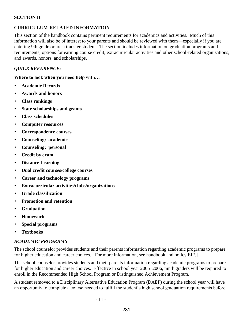#### **SECTION II**

#### **CURRICULUM-RELATED INFORMATION**

This section of the handbook contains pertinent requirements for academics and activities. Much of this information will also be of interest to your parents and should be reviewed with them—especially if you are entering 9th grade or are a transfer student. The section includes information on graduation programs and requirements; options for earning course credit; extracurricular activities and other school-related organizations; and awards, honors, and scholarships.

#### *QUICK REFERENCE:*

**Where to look when you need help with…** 

- **Academic Records**
- **Awards and honors**
- **Class rankings**
- **State scholarships and grants**
- **Class schedules**
- **Computer resources**
- **Correspondence courses**
- **Counseling: academic**
- **Counseling: personal**
- **Credit by exam**
- **Distance Learning**
- **Dual credit courses/college courses**
- **Career and technology programs**
- **Extracurricular activities/clubs/organizations**
- **Grade classification**
- **Promotion and retention**
- **Graduation**
- **Homework**
- **Special programs**
- **Textbooks**

#### *ACADEMIC PROGRAMS*

The school counselor provides students and their parents information regarding academic programs to prepare for higher education and career choices. [For more information, see handbook and policy EIF.]

The school counselor provides students and their parents information regarding academic programs to prepare for higher education and career choices. Effective in school year 2005–2006, ninth graders will be required to enroll in the Recommended High School Program or Distinguished Achievement Program.

A student removed to a Disciplinary Alternative Education Program (DAEP) during the school year will have an opportunity to complete a course needed to fulfill the student's high school graduation requirements before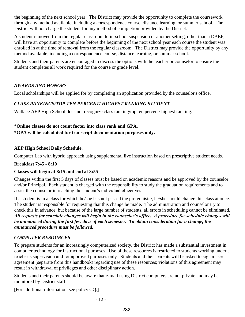the beginning of the next school year. The District may provide the opportunity to complete the coursework through any method available, including a correspondence course, distance learning, or summer school. The District will not charge the student for any method of completion provided by the District.

A student removed from the regular classroom to in-school suspension or another setting, other than a DAEP, will have an opportunity to complete before the beginning of the next school year each course the student was enrolled in at the time of removal from the regular classroom. The District may provide the opportunity by any method available, including a correspondence course, distance learning, or summer school.

Students and their parents are encouraged to discuss the options with the teacher or counselor to ensure the student completes all work required for the course or grade level.

# *AWARDS AND HONORS*

Local scholarships will be applied for by completing an application provided by the counselor's office.

# *CLASS RANKINGS/TOP TEN PERCENT/ HIGHEST RANKING STUDENT*

Wallace AEP High School does not recognize class ranking/top ten percent/ highest ranking.

#### **\*Online classes do not count factor into class rank and GPA. \*GPA will be calculated for transcript documentation purposes only.**

# **AEP High School Daily Schedule.**

Computer Lab with hybrid approach using supplemental live instruction based on prescriptive student needs.

# **Breakfast 7:45 - 8:10**

# **Classes will begin at 8:15 and end at 3:55**

Changes within the first 5 days of classes must be based on academic reasons and be approved by the counselor and/or Principal. Each student is charged with the responsibility to study the graduation requirements and to assist the counselor in reaching the student's individual objectives.

If a student is in a class for which he/she has not passed the prerequisite, he/she should change this class at once. The student is responsible for requesting that this change be made. The administration and counselor try to check this in advance, but because of the large number of students, all errors in scheduling cannot be eliminated. *All requests for schedule changes will begin in the counselor's office. A procedure for schedule changes will be announced during the first few days of each semester. To obtain consideration for a change, the announced procedure must be followed.*

# *COMPUTER RESOURCES*

To prepare students for an increasingly computerized society, the District has made a substantial investment in computer technology for instructional purposes. Use of these resources is restricted to students working under a teacher's supervision and for approved purposes only. Students and their parents will be asked to sign a user agreement (separate from this handbook) regarding use of these resources; violations of this agreement may result in withdrawal of privileges and other disciplinary action.

Students and their parents should be aware that e-mail using District computers are not private and may be monitored by District staff.

[For additional information, see policy CQ.]

- 12 -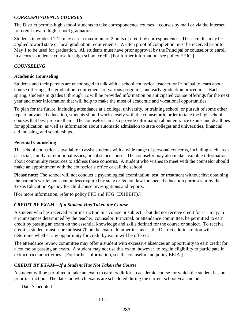#### *CORRESPONDENCE COURSES*

The District permits high school students to take correspondence courses—courses by mail or via the Internet for credit toward high school graduation.

Students in grades 11-12 may earn a maximum of 2 units of credit by correspondence. These credits may be applied toward state or local graduation requirements. Written proof of completion must be received prior to May 1 to be used for graduation. All students must have prior approval by the Principal or counselor to enroll in a correspondence course for high school credit. [For further information, see policy EEJC.]

#### *COUNSELING*

#### **Academic Counseling**

Students and their parents are encouraged to talk with a school counselor, teacher, or Principal to learn about course offerings, the graduation requirements of various programs, and early graduation procedures. Each spring, students in grades 8 through 12 will be provided information on anticipated course offerings for the next year and other information that will help to make the most of academic and vocational opportunities.

To plan for the future, including attendance at a college, university, or training school, or pursuit of some other type of advanced education, students should work closely with the counselor in order to take the high school courses that best prepare them. The counselor can also provide information about entrance exams and deadlines for application, as well as information about automatic admission to state colleges and universities, financial aid, housing, and scholarships.

#### **Personal Counseling**

The school counselor is available to assist students with a wide range of personal concerns, including such areas as social, family, or emotional issues, or substance abuse. The counselor may also make available information about community resources to address these concerns. A student who wishes to meet with the counselor should make an appointment with the counselor's office or call the school.

**Please note:** The school will not conduct a psychological examination, test, or treatment without first obtaining the parent's written consent, unless required by state or federal law for special education purposes or by the Texas Education Agency for child abuse investigations and reports.

[For more information, refer to policy FFE and FFG (EXHIBIT).]

# *CREDIT BY EXAM—If a Student Has Taken the Course*

A student who has received prior instruction in a course or subject—but did not receive credit for it—may, in circumstances determined by the teacher, counselor, Principal, or attendance committee, be permitted to earn credit by passing an exam on the essential knowledge and skills defined for the course or subject. To receive credit, a student must score at least 70 on the exam. In other instances, the District administration will determine whether any opportunity for credit by exam will be offered.

The attendance review committee may offer a student with excessive absences an opportunity to earn credit for a course by passing an exam. A student may not use this exam, however, to regain eligibility to participate in extracurricular activities. [For further information, see the counselor and policy EEJA.]

# *CREDIT BY EXAM—If a Student Has Not Taken the Course*

A student will be permitted to take an exam to earn credit for an academic course for which the student has no prior instruction. The dates on which exams are scheduled during the current school year include:

Date Scheduled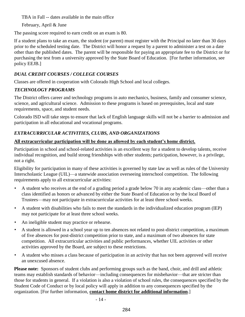TBA in Fall -- dates available in the main office

February, April & June

The passing score required to earn credit on an exam is 80.

If a student plans to take an exam, the student (or parent) must register with the Principal no later than 30 days prior to the scheduled testing date. The District will honor a request by a parent to administer a test on a date other than the published dates. The parent will be responsible for paying an appropriate fee to the District or for purchasing the test from a university approved by the State Board of Education. [For further information, see policy EEJB.]

# *DUAL CREDIT COURSES / COLLEGE COURSES*

Classes are offered in cooperation with Colorado High School and local colleges.

# *TECHNOLOGY PROGRAMS*

The District offers career and technology programs in auto mechanics, business, family and consumer science, science, and agricultural science. Admission to these programs is based on prerequisites, local and state requirements, space, and student needs.

Colorado ISD will take steps to ensure that lack of English language skills will not be a barrier to admission and participation in all educational and vocational programs.

# *EXTRACURRICULAR ACTIVITIES, CLUBS, AND ORGANIZATIONS*

# **All extracurricular participation will be done as allowed by each student's home district.**

Participation in school and school-related activities is an excellent way for a student to develop talents, receive individual recognition, and build strong friendships with other students; participation, however, is a privilege, not a right.

Eligibility for participation in many of these activities is governed by state law as well as rules of the University Interscholastic League (UIL)—a statewide association overseeing interschool competition. The following requirements apply to all extracurricular activities:

- A student who receives at the end of a grading period a grade below 70 in any academic class—other than a class identified as honors or advanced by either the State Board of Education or by the local Board of Trustees—may not participate in extracurricular activities for at least three school weeks.
- A student with disabilities who fails to meet the standards in the individualized education program (IEP) may not participate for at least three school weeks.
- An ineligible student may practice or rehearse.
- A student is allowed in a school year up to ten absences not related to post-district competition, a maximum of five absences for post-district competition prior to state, and a maximum of two absences for state competition. All extracurricular activities and public performances, whether UIL activities or other activities approved by the Board, are subject to these restrictions.
- A student who misses a class because of participation in an activity that has not been approved will receive an unexcused absence.

**Please note:** Sponsors of student clubs and performing groups such as the band, choir, and drill and athletic teams may establish standards of behavior—including consequences for misbehavior—that are stricter than those for students in general. If a violation is also a violation of school rules, the consequences specified by the Student Code of Conduct or by local policy will apply in addition to any consequences specified by the organization. [For further information, **contact home district for additional information**.]

- 14 -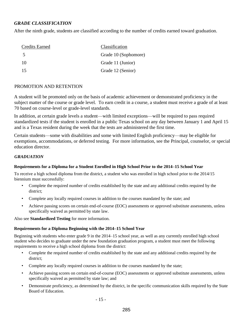#### *GRADE CLASSIFICATION*

After the ninth grade, students are classified according to the number of credits earned toward graduation.

| <b>Credits Earned</b> | Classification       |
|-----------------------|----------------------|
| 5                     | Grade 10 (Sophomore) |
| -10                   | Grade 11 (Junior)    |
| -15                   | Grade 12 (Senior)    |

#### PROMOTION AND RETENTION

A student will be promoted only on the basis of academic achievement or demonstrated proficiency in the subject matter of the course or grade level. To earn credit in a course, a student must receive a grade of at least 70 based on course-level or grade-level standards.

In addition, at certain grade levels a student—with limited exceptions—will be required to pass required standardized tests if the student is enrolled in a public Texas school on any day between January 1 and April 15 and is a Texas resident during the week that the tests are administered the first time.

Certain students—some with disabilities and some with limited English proficiency—may be eligible for exemptions, accommodations, or deferred testing. For more information, see the Principal, counselor, or special education director.

#### *GRADUATION*

#### **Requirements for a Diploma for a Student Enrolled in High School Prior to the 2014–15 School Year**

To receive a high school diploma from the district, a student who was enrolled in high school prior to the 2014/15 biennium must successfully:

- Complete the required number of credits established by the state and any additional credits required by the district;
- Complete any locally required courses in addition to the courses mandated by the state; and
- Achieve passing scores on certain end-of-course (EOC) assessments or approved substitute assessments, unless specifically waived as permitted by state law.

Also see **Standardized Testing** for more information.

#### **Requirements for a Diploma Beginning with the 2014–15 School Year**

Beginning with students who enter grade 9 in the 2014–15 school year, as well as any currently enrolled high school student who decides to graduate under the new foundation graduation program, a student must meet the following requirements to receive a high school diploma from the district:

- Complete the required number of credits established by the state and any additional credits required by the district;
- Complete any locally required courses in addition to the courses mandated by the state;
- Achieve passing scores on certain end-of-course (EOC) assessments or approved substitute assessments, unless specifically waived as permitted by state law; and
- Demonstrate proficiency, as determined by the district, in the specific communication skills required by the State Board of Education.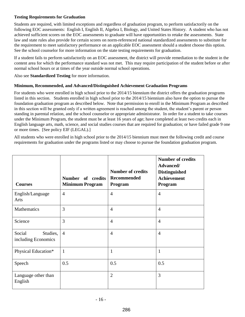#### **Testing Requirements for Graduation**

Students are required, with limited exceptions and regardless of graduation program, to perform satisfactorily on the following EOC assessments: English I, English II, Algebra I, Biology, and United States History. A student who has not achieved sufficient scores on the EOC assessments to graduate will have opportunities to retake the assessments. State law and state rules also provide for certain scores on norm-referenced national standardized assessments to substitute for the requirement to meet satisfactory performance on an applicable EOC assessment should a student choose this option. See the school counselor for more information on the state testing requirements for graduation.

If a student fails to perform satisfactorily on an EOC assessment, the district will provide remediation to the student in the content area for which the performance standard was not met. This may require participation of the student before or after normal school hours or at times of the year outside normal school operations.

Also see **Standardized Testing** for more information.

#### **Minimum, Recommended, and Advanced/Distinguished Achievement Graduation Programs**

For students who were enrolled in high school prior to the 2014/15 biennium the district offers the graduation programs listed in this section. Students enrolled in high school prior to the 2014/15 biennium also have the option to pursue the foundation graduation program as described below. Note that permission to enroll in the Minimum Program as described in this section will be granted only if a written agreement is reached among the student, the student's parent or person standing in parental relation, and the school counselor or appropriate administrator. In order for a student to take courses under the Minimum Program, the student must be at least 16 years of age; have completed at least two credits each in English language arts, math, science, and social studies courses that are required for graduation; or have failed grade 9 one or more times. [See policy EIF (LEGAL).]

All students who were enrolled in high school prior to the 2014/15 biennium must meet the following credit and course requirements for graduation under the programs listed or may choose to pursue the foundation graduation program.

| <b>Courses</b>                            | Number of credits<br><b>Minimum Program</b> | <b>Number of credits</b><br><b>Recommended</b><br>Program | <b>Number of credits</b><br>Advanced/<br><b>Distinguished</b><br><b>Achievement</b><br>Program |
|-------------------------------------------|---------------------------------------------|-----------------------------------------------------------|------------------------------------------------------------------------------------------------|
| English/Language<br>Arts                  | $\overline{4}$                              | $\overline{4}$                                            | $\overline{4}$                                                                                 |
| Mathematics                               | 3                                           | $\overline{4}$                                            | $\overline{4}$                                                                                 |
| Science                                   | 3                                           | $\overline{4}$                                            | $\overline{4}$                                                                                 |
| Social<br>Studies,<br>including Economics | $\overline{4}$                              | $\overline{4}$                                            | $\overline{4}$                                                                                 |
| Physical Education*                       | $\mathbf{1}$                                | $\mathbf{1}$                                              | $\mathbf{1}$                                                                                   |
| Speech                                    | 0.5                                         | 0.5                                                       | 0.5                                                                                            |
| Language other than<br>English            |                                             | $\overline{2}$                                            | $\overline{3}$                                                                                 |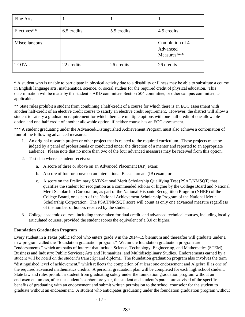| Fine Arts     |             |             |                                            |
|---------------|-------------|-------------|--------------------------------------------|
| Electives**   | 6.5 credits | 5.5 credits | 4.5 credits                                |
| Miscellaneous |             |             | Completion of 4<br>Advanced<br>Measures*** |
| <b>TOTAL</b>  | 22 credits  | 26 credits  | 26 credits                                 |

\* A student who is unable to participate in physical activity due to a disability or illness may be able to substitute a course in English language arts, mathematics, science, or social studies for the required credit of physical education. This determination will be made by the student's ARD committee, Section 504 committee, or other campus committee, as applicable.

\*\* State rules prohibit a student from combining a half-credit of a course for which there is an EOC assessment with another half-credit of an elective credit course to satisfy an elective credit requirement. However, the district will allow a student to satisfy a graduation requirement for which there are multiple options with one-half credit of one allowable option and one-half credit of another allowable option, if neither course has an EOC assessment.

\*\*\* A student graduating under the Advanced/Distinguished Achievement Program must also achieve a combination of four of the following advanced measures:

- 1. An original research project or other project that is related to the required curriculum. These projects must be judged by a panel of professionals or conducted under the direction of a mentor and reported to an appropriate audience. Please note that no more than two of the four advanced measures may be received from this option.
- 2. Test data where a student receives:
	- a. A score of three or above on an Advanced Placement (AP) exam;
	- b. A score of four or above on an International Baccalaureate (IB) exam; or
	- c. A score on the Preliminary SAT/National Merit Scholarship Qualifying Test (PSAT/NMSQT) that qualifies the student for recognition as a commended scholar or higher by the College Board and National Merit Scholarship Corporation, as part of the National Hispanic Recognition Program (NHRP) of the College Board, or as part of the National Achievement Scholarship Program of the National Merit Scholarship Corporation. The PSAT/NMSQT score will count as only one advanced measure regardless of the number of honors received by the student.
- 3. College academic courses, including those taken for dual credit, and advanced technical courses, including locally articulated courses, provided the student scores the equivalent of a 3.0 or higher.

#### **Foundation Graduation Program**

Every student in a Texas public school who enters grade 9 in the 2014–15 biennium and thereafter will graduate under a new program called the "foundation graduation program." Within the foundation graduation program are "endorsements," which are paths of interest that include Science, Technology, Engineering, and Mathematics (STEM); Business and Industry; Public Services; Arts and Humanities; and Multidisciplinary Studies. Endorsements earned by a student will be noted on the student's transcript and diploma. The foundation graduation program also involves the term "distinguished level of achievement," which reflects the completion of at least one endorsement and Algebra II as one of the required advanced mathematics credits. A personal graduation plan will be completed for each high school student. State law and rules prohibit a student from graduating solely under the foundation graduation program without an endorsement unless, after the student's sophomore year, the student and student's parent are advised of the specific benefits of graduating with an endorsement and submit written permission to the school counselor for the student to graduate without an endorsement. A student who anticipates graduating under the foundation graduation program without

- 17 -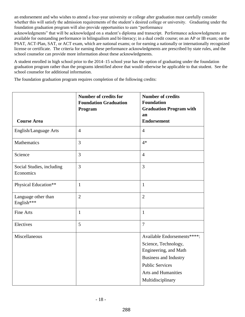an endorsement and who wishes to attend a four-year university or college after graduation must carefully consider whether this will satisfy the admission requirements of the student's desired college or university. Graduating under the foundation graduation program will also provide opportunities to earn "performance

acknowledgments" that will be acknowledged on a student's diploma and transcript. Performance acknowledgments are available for outstanding performance in bilingualism and bi-literacy; in a dual credit course; on an AP or IB exam; on the PSAT, ACT-Plan, SAT, or ACT exam, which are national exams; or for earning a nationally or internationally recognized license or certificate. The criteria for earning these performance acknowledgments are prescribed by state rules, and the school counselor can provide more information about these acknowledgments.

A student enrolled in high school prior to the 2014–15 school year has the option of graduating under the foundation graduation program rather than the programs identified above that would otherwise be applicable to that student. See the school counselor for additional information.

The foundation graduation program requires completion of the following credits:

|                                        | <b>Number of credits for</b><br><b>Foundation Graduation</b><br>Program | <b>Number of credits</b><br><b>Foundation</b><br><b>Graduation Program with</b><br>an                                                                                              |
|----------------------------------------|-------------------------------------------------------------------------|------------------------------------------------------------------------------------------------------------------------------------------------------------------------------------|
| <b>Course Area</b>                     |                                                                         | <b>Endorsement</b>                                                                                                                                                                 |
| English/Language Arts                  | $\overline{4}$                                                          | $\overline{4}$                                                                                                                                                                     |
| Mathematics                            | 3                                                                       | $4*$                                                                                                                                                                               |
| Science                                | 3                                                                       | $\overline{4}$                                                                                                                                                                     |
| Social Studies, including<br>Economics | 3                                                                       | $\overline{3}$                                                                                                                                                                     |
| Physical Education**                   | $\mathbf{1}$                                                            | $\mathbf{1}$                                                                                                                                                                       |
| Language other than<br>English***      | $\overline{2}$                                                          | $\overline{2}$                                                                                                                                                                     |
| <b>Fine Arts</b>                       | $\mathbf{1}$                                                            | $\mathbf{1}$                                                                                                                                                                       |
| Electives                              | 5                                                                       | $\overline{7}$                                                                                                                                                                     |
| Miscellaneous                          |                                                                         | Available Endorsements****:<br>Science, Technology,<br>Engineering, and Math<br><b>Business and Industry</b><br><b>Public Services</b><br>Arts and Humanities<br>Multidisciplinary |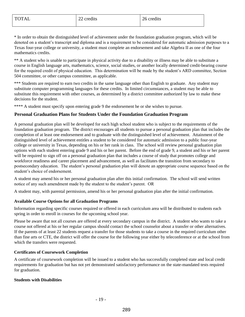\* In order to obtain the distinguished level of achievement under the foundation graduation program, which will be denoted on a student's transcript and diploma and is a requirement to be considered for automatic admission purposes to a Texas four-year college or university, a student must complete an endorsement and take Algebra II as one of the four mathematics credits.

\*\* A student who is unable to participate in physical activity due to a disability or illness may be able to substitute a course in English language arts, mathematics, science, social studies, or another locally determined credit-bearing course for the required credit of physical education. This determination will be made by the student's ARD committee, Section 504 committee, or other campus committee, as applicable.

\*\*\* Students are required to earn two credits in the same language other than English to graduate. Any student may substitute computer programming languages for these credits. In limited circumstances, a student may be able to substitute this requirement with other courses, as determined by a district committee authorized by law to make these decisions for the student.

\*\*\*\* A student must specify upon entering grade 9 the endorsement he or she wishes to pursue.

#### **Personal Graduation Plans for Students Under the Foundation Graduation Program**

A personal graduation plan will be developed for each high school student who is subject to the requirements of the foundation graduation program. The district encourages all students to pursue a personal graduation plan that includes the completion of at least one endorsement and to graduate with the distinguished level of achievement. Attainment of the distinguished level of achievement entitles a student to be considered for automatic admission to a public four-year college or university in Texas, depending on his or her rank in class. The school will review personal graduation plan options with each student entering grade 9 and his or her parent. Before the end of grade 9, a student and his or her parent will be required to sign off on a personal graduation plan that includes a course of study that promotes college and workforce readiness and career placement and advancement, as well as facilitates the transition from secondary to postsecondary education. The student's personal graduation plan will denote an appropriate course sequence based on the student's choice of endorsement.

A student may amend his or her personal graduation plan after this initial confirmation. The school will send written notice of any such amendment made by the student to the student's parent. OR

A student may, with parental permission, amend his or her personal graduation plan after the initial confirmation.

#### **Available Course Options for all Graduation Programs**

Information regarding specific courses required or offered in each curriculum area will be distributed to students each spring in order to enroll in courses for the upcoming school year.

Please be aware that not all courses are offered at every secondary campus in the district. A student who wants to take a course not offered at his or her regular campus should contact the school counselor about a transfer or other alternatives. If the parents of at least 22 students request a transfer for those students to take a course in the required curriculum other than fine arts or CTE, the district will offer the course for the following year either by teleconference or at the school from which the transfers were requested.

#### **Certificates of Coursework Completion**

A certificate of coursework completion will be issued to a student who has successfully completed state and local credit requirements for graduation but has not yet demonstrated satisfactory performance on the state-mandated tests required for graduation.

#### **Students with Disabilities**

- 19 -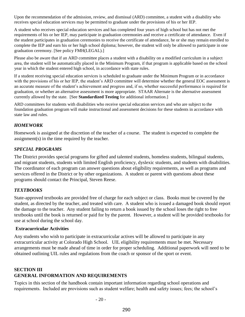Upon the recommendation of the admission, review, and dismissal (ARD) committee, a student with a disability who receives special education services may be permitted to graduate under the provisions of his or her IEP.

A student who receives special education services and has completed four years of high school but has not met the requirements of his or her IEP, may participate in graduation ceremonies and receive a certificate of attendance. Even if the student participates in graduation ceremonies to receive the certificate of attendance, he or she may remain enrolled to complete the IEP and earn his or her high school diploma; however, the student will only be allowed to participate in one graduation ceremony. [See policy FMH(LEGAL).]

Please also be aware that if an ARD committee places a student with a disability on a modified curriculum in a subject area, the student will be automatically placed in the Minimum Program, if that program is applicable based on the school year in which the student entered high school, in accordance with state rules.

If a student receiving special education services is scheduled to graduate under the Minimum Program or in accordance with the provisions of his or her IEP, the student's ARD committee will determine whether the general EOC assessment is an accurate measure of the student's achievement and progress and, if so, whether successful performance is required for graduation, or whether an alternative assessment is more appropriate. STAAR Alternate is the alternative assessment currently allowed by the state. [See **Standardized Testing** for additional information.]

ARD committees for students with disabilities who receive special education services and who are subject to the foundation graduation program will make instructional and assessment decisions for these students in accordance with state law and rules.

# *HOMEWORK*

Homework is assigned at the discretion of the teacher of a course. The student is expected to complete the assignment(s) in the time required by the teacher.

#### *SPECIAL PROGRAMS*

The District provides special programs for gifted and talented students, homeless students, bilingual students, and migrant students, students with limited English proficiency, dyslexic students, and students with disabilities. The coordinator of each program can answer questions about eligibility requirements, as well as programs and services offered in the District or by other organizations. A student or parent with questions about these programs should contact the Principal, Steven Reese.

# *TEXTBOOKS*

State-approved textbooks are provided free of charge for each subject or class. Books must be covered by the student, as directed by the teacher, and treated with care. A student who is issued a damaged book should report the damage to the teacher. Any student failing to return a book issued by the school loses the right to free textbooks until the book is returned or paid for by the parent. However, a student will be provided textbooks for use at school during the school day.

#### **Extracurricular Activities**

Any students who wish to participate in extracurricular actives will be allowed to participate in any extracurricular activity at Colorado High School. UIL eligibility requirements must be met. Necessary arrangements must be made ahead of time in order for proper scheduling. Additional paperwork will need to be obtained outlining UIL rules and regulations from the coach or sponsor of the sport or event.

# **SECTION III GENERAL INFORMATION AND REQUIREMENTS**

Topics in this section of the handbook contain important information regarding school operations and requirements. Included are provisions such as student welfare; health and safety issues; fees; the school's

- 20 -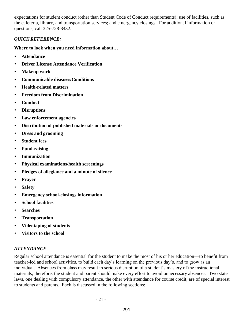expectations for student conduct (other than Student Code of Conduct requirements); use of facilities, such as the cafeteria, library, and transportation services; and emergency closings. For additional information or questions, call 325-728-3432.

#### *QUICK REFERENCE:*

**Where to look when you need information about…** 

- **Attendance**
- **Driver License Attendance Verification**
- **Makeup work**
- **Communicable diseases/Conditions**
- **Health-related matters**
- **Freedom from Discrimination**
- **Conduct**
- **Disruptions**
- **Law enforcement agencies**
- **Distribution of published materials or documents**
- **Dress and grooming**
- **Student fees**
- **Fund-raising**
- **Immunization**
- **Physical examinations/health screenings**
- **Pledges of allegiance and a minute of silence**
- **Prayer**
- **Safety**
- **Emergency school-closings information**
- **School facilities**
- **Searches**
- **Transportation**
- **Videotaping of students**
- **Visitors to the school**

# *ATTENDANCE*

Regular school attendance is essential for the student to make the most of his or her education—to benefit from teacher-led and school activities, to build each day's learning on the previous day's, and to grow as an individual. Absences from class may result in serious disruption of a student's mastery of the instructional materials; therefore, the student and parent should make every effort to avoid unnecessary absences. Two state laws, one dealing with compulsory attendance, the other with attendance for course credit, are of special interest to students and parents. Each is discussed in the following sections:

- 21 -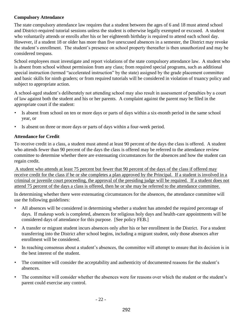#### **Compulsory Attendance**

The state compulsory attendance law requires that a student between the ages of 6 and 18 must attend school and District-required tutorial sessions unless the student is otherwise legally exempted or excused. A student who voluntarily attends or enrolls after his or her eighteenth birthday is required to attend each school day. However, if a student 18 or older has more than five unexcused absences in a semester, the District may revoke the student's enrollment. The student's presence on school property thereafter is then unauthorized and may be considered trespass.

School employees must investigate and report violations of the state compulsory attendance law. A student who is absent from school without permission from any class; from required special programs, such as additional special instruction (termed "accelerated instruction" by the state) assigned by the grade placement committee and basic skills for ninth graders; or from required tutorials will be considered in violation of truancy policy and subject to appropriate action.

A school-aged student's deliberately not attending school may also result in assessment of penalties by a court of law against both the student and his or her parents. A complaint against the parent may be filed in the appropriate court if the student:

- Is absent from school on ten or more days or parts of days within a six-month period in the same school year, or
- Is absent on three or more days or parts of days within a four-week period.

# **Attendance for Credit**

To receive credit in a class, a student must attend at least 90 percent of the days the class is offered. A student who attends fewer than 90 percent of the days the class is offered may be referred to the attendance review committee to determine whether there are extenuating circumstances for the absences and how the student can regain credit.

A student who attends at least 75 percent but fewer that 90 percent of the days of the class if offered may receive credit for the class if he or she completes a plan approved by the Principal. If a student is involved in a criminal or juvenile court proceeding, the approval of the presiding judge will be required. If a student does not attend 75 percent of the days a class is offered, then he or she may be referred to the attendance committee.

In determining whether there were extenuating circumstances for the absences, the attendance committee will use the following guidelines:

- All absences will be considered in determining whether a student has attended the required percentage of days. If makeup work is completed, absences for religious holy days and health-care appointments will be considered days of attendance for this purpose. [See policy FEB.]
- A transfer or migrant student incurs absences only after his or her enrollment in the District. For a student transferring into the District after school begins, including a migrant student, only those absences after enrollment will be considered.
- In reaching consensus about a student's absences, the committee will attempt to ensure that its decision is in the best interest of the student.
- The committee will consider the acceptability and authenticity of documented reasons for the student's absences.
- The committee will consider whether the absences were for reasons over which the student or the student's parent could exercise any control.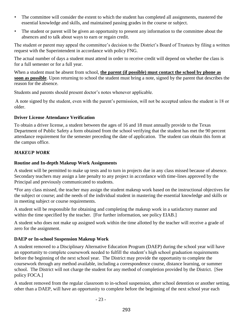- The committee will consider the extent to which the student has completed all assignments, mastered the essential knowledge and skills, and maintained passing grades in the course or subject.
- The student or parent will be given an opportunity to present any information to the committee about the absences and to talk about ways to earn or regain credit.

The student or parent may appeal the committee's decision to the District's Board of Trustees by filing a written request with the Superintendent in accordance with policy FNG.

The actual number of days a student must attend in order to receive credit will depend on whether the class is for a full semester or for a full year.

When a student must be absent from school, **the parent (if possible) must contact the school by phone as soon as possible**. Upon returning to school the student must bring a note, signed by the parent that describes the reason for the absence.

Students and parents should present doctor's notes whenever applicable.

A note signed by the student, even with the parent's permission, will not be accepted unless the student is 18 or older.

# **Driver License Attendance Verification**

To obtain a driver license, a student between the ages of 16 and 18 must annually provide to the Texas Department of Public Safety a form obtained from the school verifying that the student has met the 90 percent attendance requirement for the semester preceding the date of application. The student can obtain this form at the campus office.

# *MAKEUP WORK*

# **Routine and In-depth Makeup Work Assignments**

A student will be permitted to make up tests and to turn in projects due in any class missed because of absence. Secondary teachers may assign a late penalty to any project in accordance with time-lines approved by the Principal and previously communicated to students.

\*For any class missed, the teacher may assign the student makeup work based on the instructional objectives for the subject or course; and the needs of the individual student in mastering the essential knowledge and skills or in meeting subject or course requirements.

A student will be responsible for obtaining and completing the makeup work in a satisfactory manner and within the time specified by the teacher. [For further information, see policy EIAB.]

A student who does not make up assigned work within the time allotted by the teacher will receive a grade of zero for the assignment.

# **DAEP or In-school Suspension Makeup Work**

A student removed to a Disciplinary Alternative Education Program (DAEP) during the school year will have an opportunity to complete coursework needed to fulfill the student's high school graduation requirements before the beginning of the next school year. The District may provide the opportunity to complete the coursework through any method available, including a correspondence course, distance learning, or summer school. The District will not charge the student for any method of completion provided by the District. [See policy FOCA.]

A student removed from the regular classroom to in-school suspension, after school detention or another setting, other than a DAEP, will have an opportunity to complete before the beginning of the next school year each

$$
-23-
$$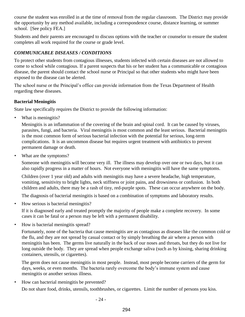course the student was enrolled in at the time of removal from the regular classroom. The District may provide the opportunity by any method available, including a correspondence course, distance learning, or summer school. [See policy FEA.]

Students and their parents are encouraged to discuss options with the teacher or counselor to ensure the student completes all work required for the course or grade level.

# *COMMUNICABLE DISEASES / CONDITIONS*

To protect other students from contagious illnesses, students infected with certain diseases are not allowed to come to school while contagious. If a parent suspects that his or her student has a communicable or contagious disease, the parent should contact the school nurse or Principal so that other students who might have been exposed to the disease can be alerted.

The school nurse or the Principal's office can provide information from the Texas Department of Health regarding these diseases.

# **Bacterial Meningitis**

State law specifically requires the District to provide the following information:

• What is meningitis?

Meningitis is an inflammation of the covering of the brain and spinal cord. It can be caused by viruses, parasites, fungi, and bacteria. Viral meningitis is most common and the least serious. Bacterial meningitis is the most common form of serious bacterial infection with the potential for serious, long-term complications. It is an uncommon disease but requires urgent treatment with antibiotics to prevent permanent damage or death.

What are the symptoms?

Someone with meningitis will become very ill. The illness may develop over one or two days, but it can also rapidly progress in a matter of hours. Not everyone with meningitis will have the same symptoms.

Children (over 1 year old) and adults with meningitis may have a severe headache, high temperature, vomiting, sensitivity to bright lights, neck stiffness or joint pains, and drowsiness or confusion. In both children and adults, there may be a rash of tiny, red-purple spots. These can occur anywhere on the body.

The diagnosis of bacterial meningitis is based on a combination of symptoms and laboratory results.

• How serious is bacterial meningitis?

If it is diagnosed early and treated promptly the majority of people make a complete recovery. In some cases it can be fatal or a person may be left with a permanent disability.

• How is bacterial meningitis spread?

Fortunately, none of the bacteria that cause meningitis are as contagious as diseases like the common cold or the flu, and they are not spread by casual contact or by simply breathing the air where a person with meningitis has been. The germs live naturally in the back of our noses and throats, but they do not live for long outside the body. They are spread when people exchange saliva (such as by kissing, sharing drinking containers, utensils, or cigarettes).

The germ does not cause meningitis in most people. Instead, most people become carriers of the germ for days, weeks, or even months. The bacteria rarely overcome the body's immune system and cause meningitis or another serious illness.

• How can bacterial meningitis be prevented?

Do not share food, drinks, utensils, toothbrushes, or cigarettes. Limit the number of persons you kiss.

- 24 -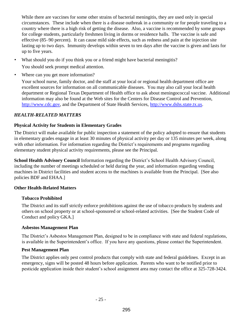While there are vaccines for some other strains of bacterial meningitis, they are used only in special circumstances. These include when there is a disease outbreak in a community or for people traveling to a country where there is a high risk of getting the disease. Also, a vaccine is recommended by some groups for college students, particularly freshmen living in dorms or residence halls. The vaccine is safe and effective (85–90 percent). It can cause mild side effects, such as redness and pain at the injection site lasting up to two days. Immunity develops within seven to ten days after the vaccine is given and lasts for up to five years.

- What should you do if you think you or a friend might have bacterial meningitis? You should seek prompt medical attention.
- Where can you get more information?

Your school nurse, family doctor, and the staff at your local or regional health department office are excellent sources for information on all communicable diseases. You may also call your local health department or Regional Texas Department of Health office to ask about meningococcal vaccine. Additional information may also be found at the Web sites for the Centers for Disease Control and Prevention, http://www.cdc.gov, and the Department of State Health Services, http://www.dshs.state.tx.us.

#### *HEALTH-RELATED MATTERS*

#### **Physical Activity for Students in Elementary Grades**

The District will make available for public inspection a statement of the policy adopted to ensure that students in elementary grades engage in at least 30 minutes of physical activity per day or 135 minutes per week, along with other information. For information regarding the District's requirements and programs regarding elementary student physical activity requirements, please see the Principal.

**School Health Advisory Council** Information regarding the District's School Health Advisory Council, including the number of meetings scheduled or held during the year, and information regarding vending machines in District facilities and student access to the machines is available from the Principal. [See also policies BDF and EHAA.]

#### **Other Health-Related Matters**

#### **Tobacco Prohibited**

The District and its staff strictly enforce prohibitions against the use of tobacco products by students and others on school property or at school-sponsored or school-related activities. [See the Student Code of Conduct and policy GKA.]

#### **Asbestos Management Plan**

The District's Asbestos Management Plan, designed to be in compliance with state and federal regulations, is available in the Superintendent's office. If you have any questions, please contact the Superintendent.

#### **Pest Management Plan**

The District applies only pest control products that comply with state and federal guidelines. Except in an emergency, signs will be posted 48 hours before application. Parents who want to be notified prior to pesticide application inside their student's school assignment area may contact the office at 325-728-3424.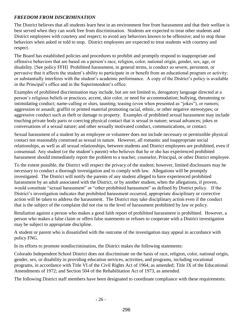# *FREEDOM FROM DISCRIMINATION*

The District believes that all students learn best in an environment free from harassment and that their welfare is best served when they can work free from discrimination. Students are expected to treat other students and District employees with courtesy and respect; to avoid any behaviors known to be offensive; and to stop those behaviors when asked or told to stop. District employees are expected to treat students with courtesy and respect.

The Board has established policies and procedures to prohibit and promptly respond to inappropriate and offensive behaviors that are based on a person's race, religion, color, national origin, gender, sex, age, or disability. [See policy FFH] Prohibited harassment, in general terms, is conduct so severe, persistent, or pervasive that it affects the student's ability to participate in or benefit from an educational program or activity; or substantially interferes with the student's academic performance. A copy of the District's policy is available in the Principal's office and in the Superintendent's office.

Examples of prohibited discrimination may include, but are not limited to, derogatory language directed at a person's religious beliefs or practices, accent, skin color, or need for accommodation; bullying, threatening or intimidating conduct; name-calling or slurs, taunting, teasing (even when presented as "jokes"), or rumors; aggression or assault; graffiti or printed material promoting racial, ethnic, or other negative stereotypes; or aggressive conduct such as theft or damage to property. Examples of prohibited sexual harassment may include touching private body parts or coercing physical contact that is sexual in nature; sexual advances; jokes or conversations of a sexual nature; and other sexually motivated conduct, communications, or contact.

Sexual harassment of a student by an employee or volunteer does not include necessary or permissible physical contact not reasonably construed as sexual in nature. However, all romantic and inappropriate social relationships, as well as all sexual relationships, between students and District employees are prohibited, even if consensual. Any student (or the student's parent) who believes that he or she has experienced prohibited harassment should immediately report the problem to a teacher, counselor, Principal, or other District employee.

To the extent possible, the District will respect the privacy of the student; however, limited disclosures may be necessary to conduct a thorough investigation and to comply with law. Allegations will be promptly investigated. The District will notify the parents of any student alleged to have experienced prohibited harassment by an adult associated with the District, or by another student, when the allegations, if proven, would constitute "sexual harassment" or "other prohibited harassment" as defined by District policy. If the District's investigation indicates that prohibited harassment occurred, appropriate disciplinary or corrective action will be taken to address the harassment. The District may take disciplinary action even if the conduct that is the subject of the complaint did not rise to the level of harassment prohibited by law or policy.

Retaliation against a person who makes a good faith report of prohibited harassment is prohibited. However, a person who makes a false claim or offers false statements or refuses to cooperate with a District investigation may be subject to appropriate discipline.

A student or parent who is dissatisfied with the outcome of the investigation may appeal in accordance with policy FNG.

In its efforts to promote nondiscrimination, the District makes the following statements:

Colorado Independent School District does not discriminate on the basis of race, religion, color, national origin, gender, sex, or disability in providing education services, activities, and programs, including vocational programs, in accordance with Title VI of the Civil Rights Act of 1964, as amended; Title IX of the Educational Amendments of 1972; and Section 504 of the Rehabilitation Act of 1973, as amended.

The following District staff members have been designated to coordinate compliance with these requirements: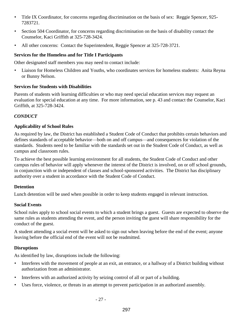- Title IX Coordinator, for concerns regarding discrimination on the basis of sex: Reggie Spencer, 925- 7283721.
- Section 504 Coordinator, for concerns regarding discrimination on the basis of disability contact the Counselor, Kaci Griffith at 325-728-3424.
- All other concerns: Contact the Superintendent, Reggie Spencer at 325-728-3721.

# **Services for the Homeless and for Title I Participants**

Other designated staff members you may need to contact include:

• Liaison for Homeless Children and Youths, who coordinates services for homeless students: Anita Reyna or Bunny Nelson.

# **Services for Students with Disabilities**

Parents of students with learning difficulties or who may need special education services may request an evaluation for special education at any time. For more information, see p. 43 and contact the Counselor, Kaci Griffith, at 325-728-3424.

# *CONDUCT*

# **Applicability of School Rules**

As required by law, the District has established a Student Code of Conduct that prohibits certain behaviors and defines standards of acceptable behavior—both on and off campus—and consequences for violation of the standards. Students need to be familiar with the standards set out in the Student Code of Conduct, as well as campus and classroom rules.

To achieve the best possible learning environment for all students, the Student Code of Conduct and other campus rules of behavior will apply whenever the interest of the District is involved, on or off school grounds, in conjunction with or independent of classes and school-sponsored activities. The District has disciplinary authority over a student in accordance with the Student Code of Conduct.

# **Detention**

Lunch detention will be used when possible in order to keep students engaged in relevant instruction.

# **Social Events**

School rules apply to school social events to which a student brings a guest. Guests are expected to observe the same rules as students attending the event, and the person inviting the guest will share responsibility for the conduct of the guest.

A student attending a social event will be asked to sign out when leaving before the end of the event; anyone leaving before the official end of the event will not be readmitted.

# **Disruptions**

As identified by law, disruptions include the following:

- Interferes with the movement of people at an exit, an entrance, or a hallway of a District building without authorization from an administrator.
- Interferes with an authorized activity by seizing control of all or part of a building.
- Uses force, violence, or threats in an attempt to prevent participation in an authorized assembly.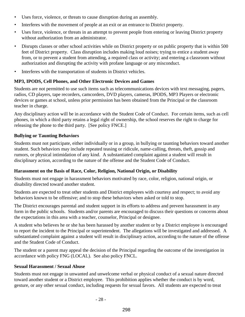- Uses force, violence, or threats to cause disruption during an assembly.
- Interferes with the movement of people at an exit or an entrance to District property.
- Uses force, violence, or threats in an attempt to prevent people from entering or leaving District property without authorization from an administrator.
- Disrupts classes or other school activities while on District property or on public property that is within 500 feet of District property. Class disruption includes making loud noises; trying to entice a student away from, or to prevent a student from attending, a required class or activity; and entering a classroom without authorization and disrupting the activity with profane language or any misconduct.
- Interferes with the transportation of students in District vehicles.

# **MP3, IPODS, Cell Phones, and Other Electronic Devices and Games**

Students are not permitted to use such items such as telecommunications devices with text messaging, pagers, radios, CD players, tape recorders, camcorders, DVD players, cameras, IPODS, MP3 Players or electronic devices or games at school, unless prior permission has been obtained from the Principal or the classroom teacher in charge.

Any disciplinary action will be in accordance with the Student Code of Conduct. For certain items, such as cell phones, in which a third party retains a legal right of ownership, the school reserves the right to charge for releasing the phone to the third party. [See policy FNCE.]

#### **Bullying or Taunting Behaviors**

Students must not participate, either individually or in a group, in bullying or taunting behaviors toward another student. Such behaviors may include repeated teasing or ridicule, name-calling, threats, theft, gossip and rumors, or physical intimidation of any kind. A substantiated complaint against a student will result in disciplinary action, according to the nature of the offense and the Student Code of Conduct.

#### **Harassment on the Basis of Race, Color, Religion, National Origin, or Disability**

Students must not engage in harassment behaviors motivated by race, color, religion, national origin, or disability directed toward another student.

Students are expected to treat other students and District employees with courtesy and respect; to avoid any behaviors known to be offensive; and to stop these behaviors when asked or told to stop.

The District encourages parental and student support in its efforts to address and prevent harassment in any form in the public schools. Students and/or parents are encouraged to discuss their questions or concerns about the expectations in this area with a teacher, counselor, Principal or designee.

A student who believes he or she has been harassed by another student or by a District employee is encouraged to report the incident to the Principal or superintendent. The allegations will be investigated and addressed. A substantiated complaint against a student will result in disciplinary action, according to the nature of the offense and the Student Code of Conduct.

The student or a parent may appeal the decision of the Principal regarding the outcome of the investigation in accordance with policy FNG (LOCAL). See also policy FNCL.

# **Sexual Harassment / Sexual Abuse**

Students must not engage in unwanted and unwelcome verbal or physical conduct of a sexual nature directed toward another student or a District employee. This prohibition applies whether the conduct is by word, gesture, or any other sexual conduct, including requests for sexual favors. All students are expected to treat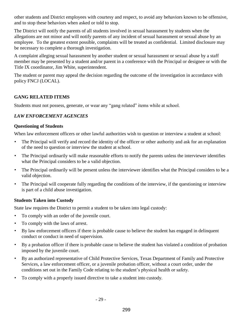other students and District employees with courtesy and respect, to avoid any behaviors known to be offensive, and to stop these behaviors when asked or told to stop.

The District will notify the parents of all students involved in sexual harassment by students when the allegations are not minor and will notify parents of any incident of sexual harassment or sexual abuse by an employee. To the greatest extent possible, complaints will be treated as confidential. Limited disclosure may be necessary to complete a thorough investigation.

A complaint alleging sexual harassment by another student or sexual harassment or sexual abuse by a staff member may be presented by a student and/or parent in a conference with the Principal or designee or with the Title IX coordinator, Jim White, superintendent.

The student or parent may appeal the decision regarding the outcome of the investigation in accordance with policy FNCJ (LOCAL).

#### **GANG RELATED ITEMS**

Students must not possess, generate, or wear any "gang related" items while at school.

# *LAW ENFORCEMENT AGENCIES*

#### **Questioning of Students**

When law enforcement officers or other lawful authorities wish to question or interview a student at school:

- The Principal will verify and record the identity of the officer or other authority and ask for an explanation of the need to question or interview the student at school.
- The Principal ordinarily will make reasonable efforts to notify the parents unless the interviewer identifies what the Principal considers to be a valid objection.
- The Principal ordinarily will be present unless the interviewer identifies what the Principal considers to be a valid objection.
- The Principal will cooperate fully regarding the conditions of the interview, if the questioning or interview is part of a child abuse investigation.

#### **Students Taken into Custody**

State law requires the District to permit a student to be taken into legal custody:

- To comply with an order of the juvenile court.
- To comply with the laws of arrest.
- By law enforcement officers if there is probable cause to believe the student has engaged in delinquent conduct or conduct in need of supervision.
- By a probation officer if there is probable cause to believe the student has violated a condition of probation imposed by the juvenile court.
- By an authorized representative of Child Protective Services, Texas Department of Family and Protective Services, a law enforcement officer, or a juvenile probation officer, without a court order, under the conditions set out in the Family Code relating to the student's physical health or safety.
- To comply with a properly issued directive to take a student into custody.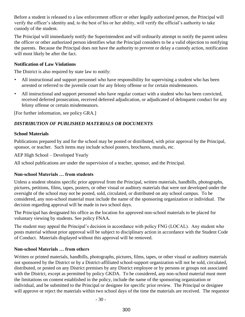Before a student is released to a law enforcement officer or other legally authorized person, the Principal will verify the officer's identity and, to the best of his or her ability, will verify the official's authority to take custody of the student.

The Principal will immediately notify the Superintendent and will ordinarily attempt to notify the parent unless the officer or other authorized person identifies what the Principal considers to be a valid objection to notifying the parents. Because the Principal does not have the authority to prevent or delay a custody action, notification will most likely be after the fact.

#### **Notification of Law Violations**

The District is also required by state law to notify:

- All instructional and support personnel who have responsibility for supervising a student who has been arrested or referred to the juvenile court for any felony offense or for certain misdemeanors.
- All instructional and support personnel who have regular contact with a student who has been convicted, received deferred prosecution, received deferred adjudication, or adjudicated of delinquent conduct for any felony offense or certain misdemeanors.

[For further information, see policy GRA.]

# *DISTRIBUTION OF PUBLISHED MATERIALS OR DOCUMENTS*

#### **School Materials**

Publications prepared by and for the school may be posted or distributed, with prior approval by the Principal, sponsor, or teacher. Such items may include school posters, brochures, murals, etc.

AEP High School – Developed Yearly

All school publications are under the supervision of a teacher, sponsor, and the Principal.

# **Non-school Materials … from students**

Unless a student obtains specific prior approval from the Principal, written materials, handbills, photographs, pictures, petitions, films, tapes, posters, or other visual or auditory materials that were not developed under the oversight of the school may not be posted, sold, circulated, or distributed on any school campus. To be considered, any non-school material must include the name of the sponsoring organization or individual. The decision regarding approval will be made in two school days.

The Principal has designated his office as the location for approved non-school materials to be placed for voluntary viewing by students. See policy FNAA.

The student may appeal the Principal's decision in accordance with policy FNG (LOCAL). Any student who posts material without prior approval will be subject to disciplinary action in accordance with the Student Code of Conduct. Materials displayed without this approval will be removed.

# **Non-school Materials … from others**

Written or printed materials, handbills, photographs, pictures, films, tapes, or other visual or auditory materials not sponsored by the District or by a District-affiliated school-support organization will not be sold, circulated, distributed, or posted on any District premises by any District employee or by persons or groups not associated with the District, except as permitted by policy GKDA. To be considered, any non-school material must meet the limitations on content established in the policy, include the name of the sponsoring organization or individual, and be submitted to the Principal or designee for specific prior review. The Principal or designee will approve or reject the materials within two school days of the time the materials are received. The requestor

- 30 -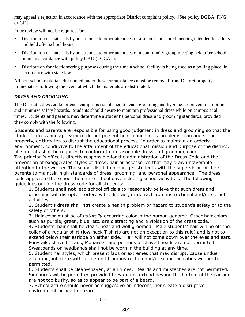may appeal a rejection in accordance with the appropriate District complaint policy. [See policy DGBA, FNG, or GF.]

Prior review will not be required for:

- Distribution of materials by an attendee to other attendees of a school-sponsored meeting intended for adults and held after school hours.
- Distribution of materials by an attendee to other attendees of a community group meeting held after school hours in accordance with policy GKD (LOCAL).
- Distribution for electioneering purposes during the time a school facility is being used as a polling place, in accordance with state law.

All non-school materials distributed under these circumstances must be removed from District property immediately following the event at which the materials are distributed.

# *DRESS AND GROOMING*

The District's dress code for each campus is established to teach grooming and hygiene, to prevent disruption, and minimize safety hazards. Students should desire to maintain professional dress while on campus at all times. Students and parents may determine a student's personal dress and grooming standards, provided they comply with the following:

Students and parents are responsible for using good judgment in dress and grooming so that the student's dress and appearance do not present health and safety problems, damage school property, or threaten to disrupt the educational process. In order to maintain an orderly environment, conducive to the attainment of the educational mission and purpose of the district, all students shall be required to conform to a reasonable dress and grooming code. The principal's office is directly responsible for the administration of the Dress Code and the prevention of exaggerated styles of dress, hair or accessories that may draw unfavorable attention to the wearer. The school district encourages students with the supervision of their parents to maintain high standards of dress, grooming, and personal appearance. The dress code applies to the school the entire school day, including school activities. The following guidelines outline the dress code for all students:

1. Students shall **not** lead school officials to reasonably believe that such dress and grooming will disrupt, interfere with, distract, or detract from instructional and/or school activities.

2. Student's dress shall **not** create a health problem or hazard to student's safety or to the safety of others.

3. Hair color must be of *naturally* occurring color in the human genome. Other hair colors such as purple, green, blue, etc. are distracting and a violation of the dress code**.**

4**.** Students' hair shall be clean, neat and well groomed. Male students' hair will be off the collar of a regular shirt (low-neck T-shirts are not an exception to this rule) and is not to extend below their earlobe on either side. Hair will not come down over the eyes and ears. Ponytails, shaved heads, Mohawks, and portions of shaved heads are not permitted. Sweatbands or headbands shall not be worn in the building at any time.

5. Student hairstyles, which present fads or extremes that may disrupt, cause undue attention, interfere with, or detract from instruction and/or school activities will not be permitted.

6. Students shall be clean-shaven, at all times. Beards and mustaches are not permitted. Sideburns will be permitted provided they do not extend beyond the bottom of the ear and are not too bushy, so as to appear to be part of a beard.

7. School attire should never be suggestive or indecent, nor create a disruptive environment or health hazard.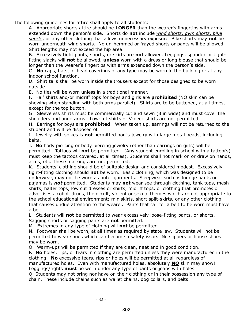The following guidelines for attire shall apply to all students:

A. Appropriate shorts attire should be **LONGER** than the wearer's fingertips with arms extended down the person's side. Shorts do **not** include *wind shorts, gym shorts, bike shorts*, or any other clothing that allows unnecessary exposure. Bike shorts may **not** be worn underneath wind shorts. No un-hemmed or frayed shorts or pants will be allowed. Shirt lengths may not exceed the hip area.

B. Excessively tight pants, shorts, or skirts are **not** allowed. Leggings, spandex or tightfitting slacks will **not** be allowed, **unless** worn with a dress or long blouse that should be longer than the wearer's fingertips with arms extended down the person's side.

C. **No** caps, hats, or head coverings of any type may be worn in the building or at any indoor school function.

D. Shirt tails shall be worn inside the trousers except for those designed to be worn outside.

E. No ties will be worn unless in a traditional manner.

F. Half shirts and/or midriff tops for boys and girls are **prohibited** (NO skin can be showing when standing with both arms parallel). Shirts are to be buttoned, at all times, except for the top button.

G. Sleeveless shirts must be commercially cut and sewn (3 in wide) and must cover the shoulders and underarms. Low-cut shirts or V-neck shirts are not permitted.

H. Earrings for boys are **prohibited**. When taken up, earrings will not be returned to the student and will be disposed of.

I. Jewelry with spikes is **not** permitted nor is jewelry with large metal beads, including belts.

J. **No** body piercing or body piercing jewelry (other than earrings on girls) will be permitted. Tattoos will **not** be permitted. (Any student enrolling in school with a tattoo(s) must keep the tattoos covered, at all times). Students shall not mark on or draw on hands, arms, etc. These markings are not permitted.

K. Students' clothing should be of suitable design and considered modest. Excessively tight-fitting clothing should **not** be worn. Basic clothing, which was designed to be underwear, may not be worn as outer garments. Sleepwear such as lounge pants or pajamas is *not* permitted. Students may **not** wear see through clothing, tank tops, mesh shirts, halter tops, low cut dresses or shirts, midriff tops, or clothing that promotes or advertises alcohol, drugs, the occult, violent or sexual themes which are not appropriate to the school educational environment; miniskirts, short split-skirts, or any other clothing that causes undue attention to the wearer. Pants that call for a belt to be worn must have a belt.

L. Students will **not** be permitted to wear excessively loose-fitting pants, or shorts. Sagging shorts or sagging pants are **not** permitted.

M. Extremes in any type of clothing will **not** be permitted.

N. Footwear shall be worn, at all times as required by state law. Students will not be permitted to wear shoes which can become a safety issue. No slippers or house shoes may be worn.

O. Warm-ups will be permitted if they are clean, neat and in good condition.

P. **No** holes, rips, or tears in clothing are permitted unless they were manufactured in the clothing. **No** excessive tears, rips or holes will be permitted at all regardless of manufactured holes. Even with manufactured holes, absolutely **NO** skin may show! Leggings/tights **must** be worn under any type of pants or jeans with holes.

Q. Students may not bring nor have on their clothing or in their possession any type of chain. These include chains such as wallet chains, dog collars, and belts.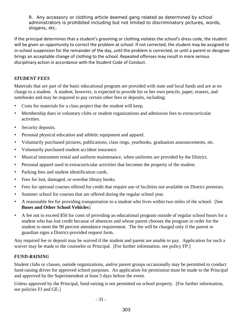R. Any accessory or clothing article deemed gang related as determined by school administrators is prohibited including but not limited to discriminatory pictures, words, slogans, etc.

If the principal determines that a student's grooming or clothing violates the school's dress code, the student will be given an opportunity to correct the problem at school. If not corrected, the student may be assigned to in-school suspension for the remainder of the day, until the problem is corrected, or until a parent or designee brings an acceptable change of clothing to the school. Repeated offenses may result in more serious disciplinary action in accordance with the Student Code of Conduct.

# *STUDENT FEES*

Materials that are part of the basic educational program are provided with state and local funds and are at no charge to a student. A student, however, is expected to provide his or her own pencils, paper, erasers, and notebooks and may be required to pay certain other fees or deposits, including:

- Costs for materials for a class project that the student will keep.
- Membership dues in voluntary clubs or student organizations and admission fees to extracurricular activities.
- Security deposits.
- Personal physical education and athletic equipment and apparel.
- Voluntarily purchased pictures, publications, class rings, yearbooks, graduation announcements, etc.
- Voluntarily purchased student accident insurance.
- Musical instrument rental and uniform maintenance, when uniforms are provided by the District.
- Personal apparel used in extracurricular activities that becomes the property of the student.
- Parking fees and student identification cards.
- Fees for lost, damaged, or overdue library books.
- Fees for optional courses offered for credit that require use of facilities not available on District premises.
- Summer school for courses that are offered during the regular school year.
- A reasonable fee for providing transportation to a student who lives within two miles of the school. [See **Buses and Other School Vehicles**]
- A fee not to exceed \$50 for costs of providing an educational program outside of regular school hours for a student who has lost credit because of absences and whose parent chooses the program in order for the student to meet the 90 percent attendance requirement. The fee will be charged only if the parent or guardian signs a District-provided request form.

Any required fee or deposit may be waived if the student and parent are unable to pay. Application for such a waiver may be made to the counselor or Principal. [For further information, see policy FP.]

# *FUND-RAISING*

Student clubs or classes, outside organizations, and/or parent groups occasionally may be permitted to conduct fund-raising drives for approved school purposes. An application for permission must be made to the Principal and approved by the Superintendent at least 5 days before the event.

Unless approved by the Principal, fund-raising is not permitted on school property. [For further information, see policies FJ and GE.]

- 33 -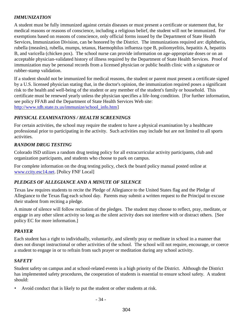# *IMMUNIZATION*

A student must be fully immunized against certain diseases or must present a certificate or statement that, for medical reasons or reasons of conscience, including a religious belief, the student will not be immunized. For exemptions based on reasons of conscience, only official forms issued by the Department of State Health Services, Immunization Division, can be honored by the District. The immunizations required are: diphtheria, rubella (measles), rubella, mumps, tetanus, Haemophilus influenza type B, poliomyelitis, hepatitis A, hepatitis B, and varicella (chicken pox). The school nurse can provide information on age-appropriate doses or on an acceptable physician-validated history of illness required by the Department of State Health Services. Proof of immunization may be personal records from a licensed physician or public health clinic with a signature or rubber-stamp validation.

If a student should not be immunized for medical reasons, the student or parent must present a certificate signed by a U.S. licensed physician stating that, in the doctor's opinion, the immunization required poses a significant risk to the health and well-being of the student or any member of the student's family or household. This certificate must be renewed yearly unless the physician specifies a life-long condition. [For further information, see policy FFAB and the Department of State Health Services Web site: http://www.tdh.state.tx.us/immunize/school\_info.htm]

# *PHYSICAL EXAMINATIONS / HEALTH SCREENINGS*

For certain activities, the school may require the student to have a physical examination by a healthcare professional prior to participating in the activity. Such activities may include but are not limited to all sports activities.

# *RANDOM DRUG TESTING*

Colorado ISD utilizes a random drug testing policy for all extracurricular activity participants, club and organization participants, and students who choose to park on campus.

For complete information on the drug testing policy, check the board policy manual posted online at www.ccity.esc14.net. [Policy FNF Local]

# *PLEDGES OF ALLEGIANCE AND A MINUTE OF SILENCE*

Texas law requires students to recite the Pledge of Allegiance to the United States flag and the Pledge of Allegiance to the Texas flag each school day. Parents may submit a written request to the Principal to excuse their student from reciting a pledge.

A minute of silence will follow recitation of the pledges. The student may choose to reflect, pray, meditate, or engage in any other silent activity so long as the silent activity does not interfere with or distract others. [See policy EC for more information.]

# *PRAYER*

Each student has a right to individually, voluntarily, and silently pray or meditate in school in a manner that does not disrupt instructional or other activities of the school. The school will not require, encourage, or coerce a student to engage in or to refrain from such prayer or meditation during any school activity.

#### *SAFETY*

Student safety on campus and at school-related events is a high priority of the District. Although the District has implemented safety procedures, the cooperation of students is essential to ensure school safety. A student should:

• Avoid conduct that is likely to put the student or other students at risk.

- 34 -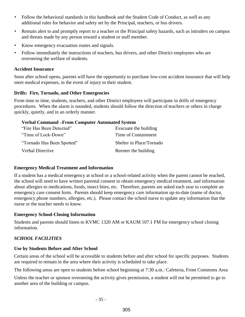- Follow the behavioral standards in this handbook and the Student Code of Conduct, as well as any additional rules for behavior and safety set by the Principal, teachers, or bus drivers.
- Remain alert to and promptly report to a teacher or the Principal safety hazards, such as intruders on campus and threats made by any person toward a student or staff member.
- Know emergency evacuation routes and signals.
- Follow immediately the instructions of teachers, bus drivers, and other District employees who are overseeing the welfare of students.

#### **Accident Insurance**

Soon after school opens, parents will have the opportunity to purchase low-cost accident insurance that will help meet medical expenses, in the event of injury to their student.

#### **Drills: Fire, Tornado, and Other Emergencies**

From time to time, students, teachers, and other District employees will participate in drills of emergency procedures. When the alarm is sounded, students should follow the direction of teachers or others in charge quickly, quietly, and in an orderly manner.

#### **Verbal Command –From Computer Automated System**

| "Fire Has Been Detected"   | Evacuate the building    |
|----------------------------|--------------------------|
| "Time of Lock-Down"        | Time of Containment      |
| "Tornado Has Been Spotted" | Shelter in Place/Tornado |
| Verbal Directive           | Reenter the building     |

#### **Emergency Medical Treatment and Information**

If a student has a medical emergency at school or a school-related activity when the parent cannot be reached, the school will need to have written parental consent to obtain emergency medical treatment, and information about allergies to medications, foods, insect bites, etc. Therefore, parents are asked each year to complete an emergency care consent form. Parents should keep emergency care information up-to-date (name of doctor, emergency phone numbers, allergies, etc.). Please contact the school nurse to update any information that the nurse or the teacher needs to know.

#### **Emergency School-Closing Information**

Students and parents should listen to KVMC 1320 AM or KAUM 107.1 FM for emergency school closing information.

#### *SCHOOL FACILITIES*

#### **Use by Students Before and After School**

Certain areas of the school will be accessible to students before and after school for specific purposes. Students are required to remain in the area where their activity is scheduled to take place.

The following areas are open to students before school beginning at 7:30 a.m.: Cafeteria, Front Commons Area

Unless the teacher or sponsor overseeing the activity gives permission, a student will not be permitted to go to another area of the building or campus.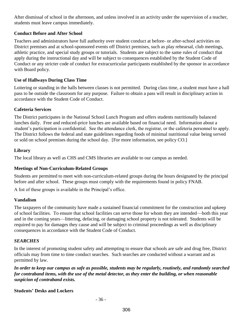After dismissal of school in the afternoon, and unless involved in an activity under the supervision of a teacher, students must leave campus immediately.

#### **Conduct Before and After School**

Teachers and administrators have full authority over student conduct at before- or after-school activities on District premises and at school-sponsored events off District premises, such as play rehearsal, club meetings, athletic practice, and special study groups or tutorials. Students are subject to the same rules of conduct that apply during the instructional day and will be subject to consequences established by the Student Code of Conduct or any stricter code of conduct for extracurricular participants established by the sponsor in accordance with Board policy.

#### **Use of Hallways During Class Time**

Loitering or standing in the halls between classes is not permitted. During class time, a student must have a hall pass to be outside the classroom for any purpose. Failure to obtain a pass will result in disciplinary action in accordance with the Student Code of Conduct.

#### **Cafeteria Services**

The District participates in the National School Lunch Program and offers students nutritionally balanced lunches daily. Free and reduced-price lunches are available based on financial need. Information about a student's participation is confidential. See the attendance clerk, the registrar, or the cafeteria personnel to apply. The District follows the federal and state guidelines regarding foods of minimal nutritional value being served or sold on school premises during the school day. [For more information, see policy CO.]

#### **Library**

The local library as well as CHS and CMS libraries are available to our campus as needed.

# **Meetings of Non-Curriculum-Related Groups**

Students are permitted to meet with non-curriculum-related groups during the hours designated by the principal before and after school. These groups must comply with the requirements found in policy FNAB.

A list of these groups is available in the Principal's office.

# **Vandalism**

The taxpayers of the community have made a sustained financial commitment for the construction and upkeep of school facilities. To ensure that school facilities can serve those for whom they are intended—both this year and in the coming years—littering, defacing, or damaging school property is not tolerated. Students will be required to pay for damages they cause and will be subject to criminal proceedings as well as disciplinary consequences in accordance with the Student Code of Conduct.

# *SEARCHES*

In the interest of promoting student safety and attempting to ensure that schools are safe and drug free, District officials may from time to time conduct searches. Such searches are conducted without a warrant and as permitted by law.

*In order to keep our campus as safe as possible, students may be regularly, routinely, and randomly searched for contraband items, with the use of the metal detector, as they enter the building, or when reasonable suspicion of contraband exists.* 

# **Students' Desks and Lockers**

- 36 -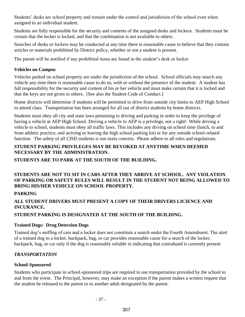Students' desks are school property and remain under the control and jurisdiction of the school even when assigned to an individual student.

Students are fully responsible for the security and contents of the assigned desks and lockers. Students must be certain that the locker is locked, and that the combination is not available to others.

Searches of desks or lockers may be conducted at any time there is reasonable cause to believe that they contain articles or materials prohibited by District policy, whether or not a student is present.

The parent will be notified if any prohibited items are found in the student's desk or locker.

#### **Vehicles on Campus**

Vehicles parked on school property are under the jurisdiction of the school. School officials may search any vehicle any time there is reasonable cause to do so, with or without the presence of the student. A student has full responsibility for the security and content of his or her vehicle and must make certain that it is locked and that the keys are not given to others. [See also the Student Code of Conduct.]

Home districts will determine if students will be permitted to drive from outside city limits to AEP High School to attend class. Transportation has been arranged for all out of district students by home districts.

Students must obey all city and state laws pertaining to driving and parking in order to keep the privilege of having a vehicle at AEP High School. Driving a vehicle to AEP is a privilege, not a right! While driving a vehicle to school, students must obey all traffic laws. This includes any driving on school time (lunch, to and from athletic practice, and arriving or leaving the high school parking lot) or for any outside school-related function. The safety of all CISD students is our main concern. Please adhere to all rules and regulations.

# **STUDENT PARKING PRIVILEGES MAY BE REVOKED AT ANYTIME WHEN DEEMED NECESSARY BY THE ADMINISTRATION.**

**STUDENTS ARE TO PARK AT THE SOUTH OF THE BUILDING.**

# **STUDENTS ARE NOT TO SIT IN CARS AFTER THEY ARRIVE AT SCHOOL. ANY VIOLATION OF PARKING OR SAFETY RULES WILL RESULT IN THE STUDENT NOT BEING ALLOWED TO BRING HIS/HER VEHICLE ON SCHOOL PROPERTY.**

# **PARKING**

# **ALL STUDENT DRIVERS MUST PRESENT A COPY OF THEIR DRIVERS LICIENCE AND INCURANCE.**

# **STUDENT PARKING IS DESIGNATED AT THE SOUTH OF THE BUILDING.**

# **Trained Dogs: Drug Detection Dogs**

Trained dog's sniffing of cars and a locker does not constitute a search under the Fourth Amendment. The alert of a trained dog to a locker, backpack, bag, or car provides reasonable cause for a search of the locker, backpack, bag, or car only if the dog is reasonably reliable in indicating that contraband is currently present

# *TRANSPORTATION*

# **School-Sponsored**

Students who participate in school-sponsored trips are required to use transportation provided by the school to and from the event. The Principal, however, may make an exception if the parent makes a written request that the student be released to the parent or to another adult designated by the parent.

- 37 -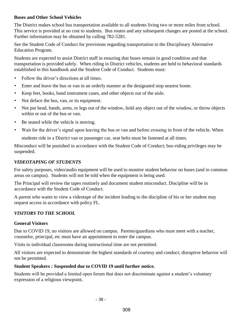#### **Buses and Other School Vehicles**

The District makes school bus transportation available to all students living two or more miles from school. This service is provided at no cost to students. Bus routes and any subsequent changes are posted at the school. Further information may be obtained by calling 782-5281.

See the Student Code of Conduct for provisions regarding transportation to the Disciplinary Alternative Education Program.

Students are expected to assist District staff in ensuring that buses remain in good condition and that transportation is provided safely. When riding in District vehicles, students are held to behavioral standards established in this handbook and the Student Code of Conduct. Students must:

- Follow the driver's directions at all times.
- Enter and leave the bus or van in an orderly manner at the designated stop nearest home.
- Keep feet, books, band instrument cases, and other objects out of the aisle.
- Not deface the bus, van, or its equipment.
- Not put head, hands, arms, or legs out of the window, hold any object out of the window, or throw objects within or out of the bus or van.
- Be seated while the vehicle is moving.
- Wait for the driver's signal upon leaving the bus or van and before crossing in front of the vehicle. When

students ride in a District van or passenger car, seat belts must be fastened at all times.

Misconduct will be punished in accordance with the Student Code of Conduct; bus-riding privileges may be suspended.

# *VIDEOTAPING OF STUDENTS*

For safety purposes, video/audio equipment will be used to monitor student behavior on buses (and in common areas on campus). Students will not be told when the equipment is being used.

The Principal will review the tapes routinely and document student misconduct. Discipline will be in accordance with the Student Code of Conduct.

A parent who wants to view a videotape of the incident leading to the discipline of his or her student may request access in accordance with policy FL.

# *VISITORS TO THE SCHOOL*

# **General Visitors**

Due to COVID 19, no visitors are allowed on campus. Parents/guardians who must meet with a teacher, counselor, principal, etc must have an appointment to enter the campus.

Visits to individual classrooms during instructional time are not permitted.

All visitors are expected to demonstrate the highest standards of courtesy and conduct; disruptive behavior will not be permitted.

# **Student Speakers : Suspended due to COVID 19 until further notice.**

Students will be provided a limited open forum that does not discriminate against a student's voluntary expression of a religious viewpoint.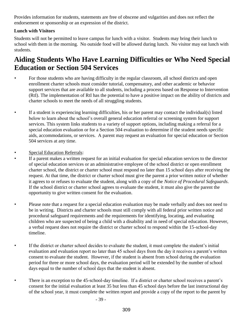Provides information for students, statements are free of obscene and vulgarities and does not reflect the endorsement or sponsorship or an expression of the district.

# **Lunch with Visitors**

Students will not be permitted to leave campus for lunch with a visitor. Students may bring their lunch to school with them in the morning. No outside food will be allowed during lunch. No visitor may eat lunch with students.

# **Aiding Students Who Have Learning Difficulties or Who Need Special Education or Section 504 Services**

- For those students who are having difficulty in the regular classroom, all school districts and open enrollment charter schools must consider tutorial, compensatory, and other academic or behavior support services that are available to all students, including a process based on Response to Intervention (RtI). The implementation of RtI has the potential to have a positive impact on the ability of districts and charter schools to meet the needs of all struggling students.
- If a student is experiencing learning difficulties, his or her parent may contact the individual(s) listed below to learn about the school's overall general education referral or screening system for support services. This system links students to a variety of support options, including making a referral for a special education evaluation or for a Section 504 evaluation to determine if the student needs specific aids, accommodations, or services. A parent may request an evaluation for special education or Section 504 services at any time.
- Special Education Referrals:
	- If a parent makes a written request for an initial evaluation for special education services to the director of special education services or an administrative employee of the school district or open enrollment charter school, the district or charter school must respond no later than 15 school days after receiving the request. At that time, the district or charter school must give the parent a prior written notice of whether it agrees to or refuses to evaluate the student, along with a copy of the *Notice of Procedural Safeguards*. If the school district or charter school agrees to evaluate the student, it must also give the parent the opportunity to give written consent for the evaluation.
- Please note that a request for a special education evaluation may be made verbally and does not need to be in writing. Districts and charter schools must still comply with all federal prior written notice and procedural safeguard requirements and the requirements for identifying, locating, and evaluating children who are suspected of being a child with a disability and in need of special education. However, a verbal request does not require the district or charter school to respond within the 15-school-day timeline.
- If the district or charter school decides to evaluate the student, it must complete the student's initial evaluation and evaluation report no later than 45 school days from the day it receives a parent's written consent to evaluate the student. However, if the student is absent from school during the evaluation period for three or more school days, the evaluation period will be extended by the number of school days equal to the number of school days that the student is absent.
- There is an exception to the 45-school-day timeline. If a district or charter school receives a parent's consent for the initial evaluation at least 35 but less than 45 school days before the last instructional day of the school year, it must complete the written report and provide a copy of the report to the parent by

- 39 -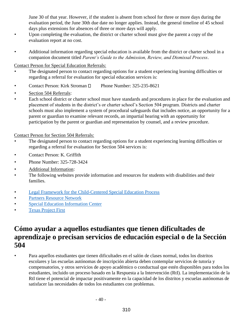June 30 of that year. However, if the student is absent from school for three or more days during the evaluation period, the June 30th due date no longer applies. Instead, the general timeline of 45 school days plus extensions for absences of three or more days will apply.

- Upon completing the evaluation, the district or charter school must give the parent a copy of the evaluation report at no cost.
- Additional information regarding special education is available from the district or charter school in a companion document titled *Parent's Guide to the Admission, Review, and Dismissal Process*.

#### Contact Person for Special Education Referrals:

- The designated person to contact regarding options for a student experiencing learning difficulties or regarding a referral for evaluation for special education services is:
- Contact Person: Kirk Stroman D Phone Number: 325-235-8621
- Section 504 Referrals:
- Each school district or charter school must have standards and procedures in place for the evaluation and placement of students in the district's or charter school's Section 504 program. Districts and charter schools must also implement a system of procedural safeguards that includes notice, an opportunity for a parent or guardian to examine relevant records, an impartial hearing with an opportunity for participation by the parent or guardian and representation by counsel, and a review procedure.

# Contact Person for Section 504 Referrals:

- The designated person to contact regarding options for a student experiencing learning difficulties or regarding a referral for evaluation for Section 504 services is:
- Contact Person: K. Griffith
- Phone Number: 325-728-3424
- Additional Information:
- The following websites provide information and resources for students with disabilities and their families.
- Legal Framework for the Child-Centered Special Education Process
- Partners Resource Network
- Special Education Information Center
- Texas Project First

# **Cómo ayudar a aquellos estudiantes que tienen dificultades de aprendizaje o precisan servicios de educación especial o de la Sección 504**

• Para aquellos estudiantes que tienen dificultades en el salón de clases normal, todos los distritos escolares y las escuelas autónomas de inscripción abierta deben contemplar servicios de tutoría y compensatorios, y otros servicios de apoyo académico o conductual que estén disponibles para todos los estudiantes, incluido un proceso basado en la Respuesta a la Intervención (RtI). La implementación de la RtI tiene el potencial de impactar positivamente en la capacidad de los distritos y escuelas autónomas de satisfacer las necesidades de todos los estudiantes con problemas.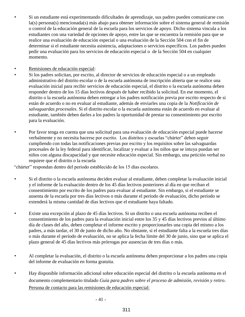- Si un estudiante está experimentando dificultades de aprendizaje, sus padres pueden comunicarse con la(s) persona(s) mencionada(s) más abajo para obtener información sobre el sistema general de remisión o control de la educación general de la escuela para los servicios de apoyo. Dicho sistema vincula a los estudiantes con una variedad de opciones de apoyo, entre las que se encuentra la remisión para que se realice una evaluación de educación especial o una evaluación de la Sección 504 con el fin de determinar si el estudiante necesita asistencia, adaptaciones o servicios específicos. Los padres pueden pedir una evaluación para los servicios de educación especial o de la Sección 504 en cualquier momento.
- Remisiones de educación especial:
	- Si los padres solicitan, por escrito, al director de servicios de educación especial o a un empleado administrativo del distrito escolar o de la escuela autónoma de inscripción abierta que se realice una evaluación inicial para recibir servicios de educación especial, el distrito o la escuela autónoma deben responder dentro de los 15 días lectivos después de haber recibido la solicitud. En ese momento, el distrito o la escuela autónoma deben entregar a los padres notificación previa por escrito respecto de si están de acuerdo o no en evaluar al estudiante, además de enviarles una copia de la *Notificación de salvaguardas procesales*. Si el distrito escolar o la escuela autónoma están de acuerdo en evaluar al estudiante, también deben darles a los padres la oportunidad de prestar su consentimiento por escrito para la evaluación.
- Por favor tenga en cuenta que una solicitud para una evaluación de educación especial puede hacerse verbalmente y no necesita hacerse por escrito. Los distritos y escuelas "chárter" deben seguir cumpliendo con todas las notificaciones previas por escrito y los requisitos sobre las salvaguardas procesales de la ley federal para identificar, localizar y evaluar a los niños que se intuya puedan ser niños con alguna discapacidad y que necesite educación especial. Sin embargo, una petición verbal no requiere que el distrito o la escuela

"chárter" respondan dentro del periodo establecido de los 15 días escolares.

- Si el distrito o la escuela autónoma deciden evaluar al estudiante, deben completar la evaluación inicial y el informe de la evaluación dentro de los 45 días lectivos posteriores al día en que reciban el consentimiento por escrito de los padres para evaluar al estudiante. Sin embargo, si el estudiante se ausenta de la escuela por tres días lectivos o más durante el período de evaluación, dicho período se extenderá la misma cantidad de días lectivos que el estudiante haya faltado.
- Existe una excepción al plazo de 45 días lectivos. Si un distrito o una escuela autónoma reciben el consentimiento de los padres para la evaluación inicial entre los 35 y 45 días lectivos previos al último día de clases del año, deben completar el informe escrito y proporcionarles una copia del mismo a los padres, a más tardar, el 30 de junio de dicho año. No obstante, si el estudiante falta a la escuela tres días o más durante el período de evaluación, no se aplica la fecha límite del 30 de junio, sino que se aplica el plazo general de 45 días lectivos más prórrogas por ausencias de tres días o más.
- Al completar la evaluación, el distrito o la escuela autónoma deben proporcionar a los padres una copia del informe de evaluación en forma gratuita.
- Hay disponible información adicional sobre educación especial del distrito o la escuela autónoma en el documento complementario titulado *Guía para padres sobre el proceso de admisión, revisión y retiro*. Persona de contacto para las remisiones de educación especial:

- 41 -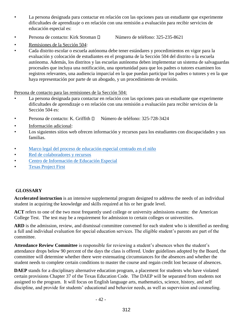- La persona designada para contactar en relación con las opciones para un estudiante que experimente dificultades de aprendizaje o en relación con una remisión a evaluación para recibir servicios de educación especial es:
- Persona de contacto: Kirk Stroman  $\Box$  Número de teléfono: 325-235-8621
- Remisiones de la Sección 504:
- Cada distrito escolar o escuela autónoma debe tener estándares y procedimientos en vigor para la evaluación y colocación de estudiantes en el programa de la Sección 504 del distrito o la escuela autónoma. Además, los distritos y las escuelas autónoma deben implementar un sistema de salvaguardas procesales que incluya una notificación, una oportunidad para que los padres o tutores examinen los registros relevantes, una audiencia imparcial en la que puedan participar los padres o tutores y en la que haya representación por parte de un abogado, y un procedimiento de revisión.

Persona de contacto para las remisiones de la Sección 504:

- La persona designada para contactar en relación con las opciones para un estudiante que experimente dificultades de aprendizaje o en relación con una remisión a evaluación para recibir servicios de la Sección 504 es:
- Persona de contacto: K. Griffith  $\Box$  Número de teléfono: 325-728-3424
- Información adicional:
- Los siguientes sitios web ofrecen información y recursos para los estudiantes con discapacidades y sus familias.
- Marco legal del proceso de educación especial centrado en el niño
- Red de colaboradores y recursos
- Centro de Información de Educación Especial
- Texas Project First

# **GLOSSARY**

**Accelerated instruction** is an intensive supplemental program designed to address the needs of an individual student in acquiring the knowledge and skills required at his or her grade level.

**ACT** refers to one of the two most frequently used college or university admissions exams: the American College Test. The test may be a requirement for admission to certain colleges or universities.

**ARD** is the admission, review, and dismissal committee convened for each student who is identified as needing a full and individual evaluation for special education services. The eligible student's parents are part of the committee.

**Attendance Review Committee** is responsible for reviewing a student's absences when the student's attendance drops below 90 percent of the days the class is offered. Under guidelines adopted by the Board, the committee will determine whether there were extenuating circumstances for the absences and whether the student needs to complete certain conditions to master the course and regain credit lost because of absences.

**DAEP** stands for a disciplinary alternative education program, a placement for students who have violated certain provisions Chapter 37 of the Texas Education Code. The DAEP will be separated from students not assigned to the program. It will focus on English language arts, mathematics, science, history, and self discipline, and provide for students' educational and behavior needs, as well as supervision and counseling.